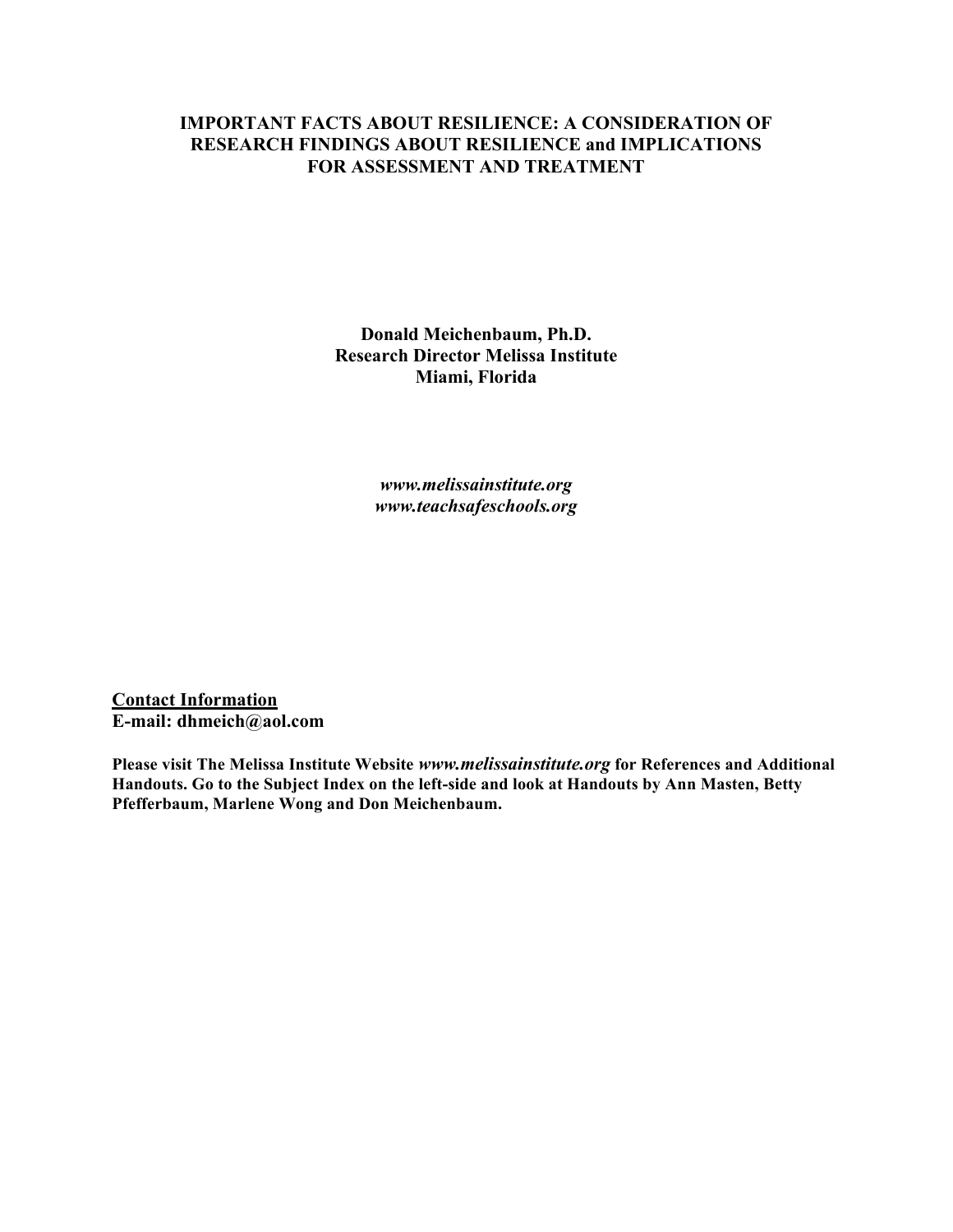#### **IMPORTANT FACTS ABOUT RESILIENCE: A CONSIDERATION OF RESEARCH FINDINGS ABOUT RESILIENCE and IMPLICATIONS FOR ASSESSMENT AND TREATMENT**

**Donald Meichenbaum, Ph.D. Research Director Melissa Institute Miami, Florida**

> *www.melissainstitute.org www.teachsafeschools.org*

**Contact Information E-mail: dhmeich@aol.com**

**Please visit The Melissa Institute Website** *www.melissainstitute.org* **for References and Additional Handouts. Go to the Subject Index on the left-side and look at Handouts by Ann Masten, Betty Pfefferbaum, Marlene Wong and Don Meichenbaum.**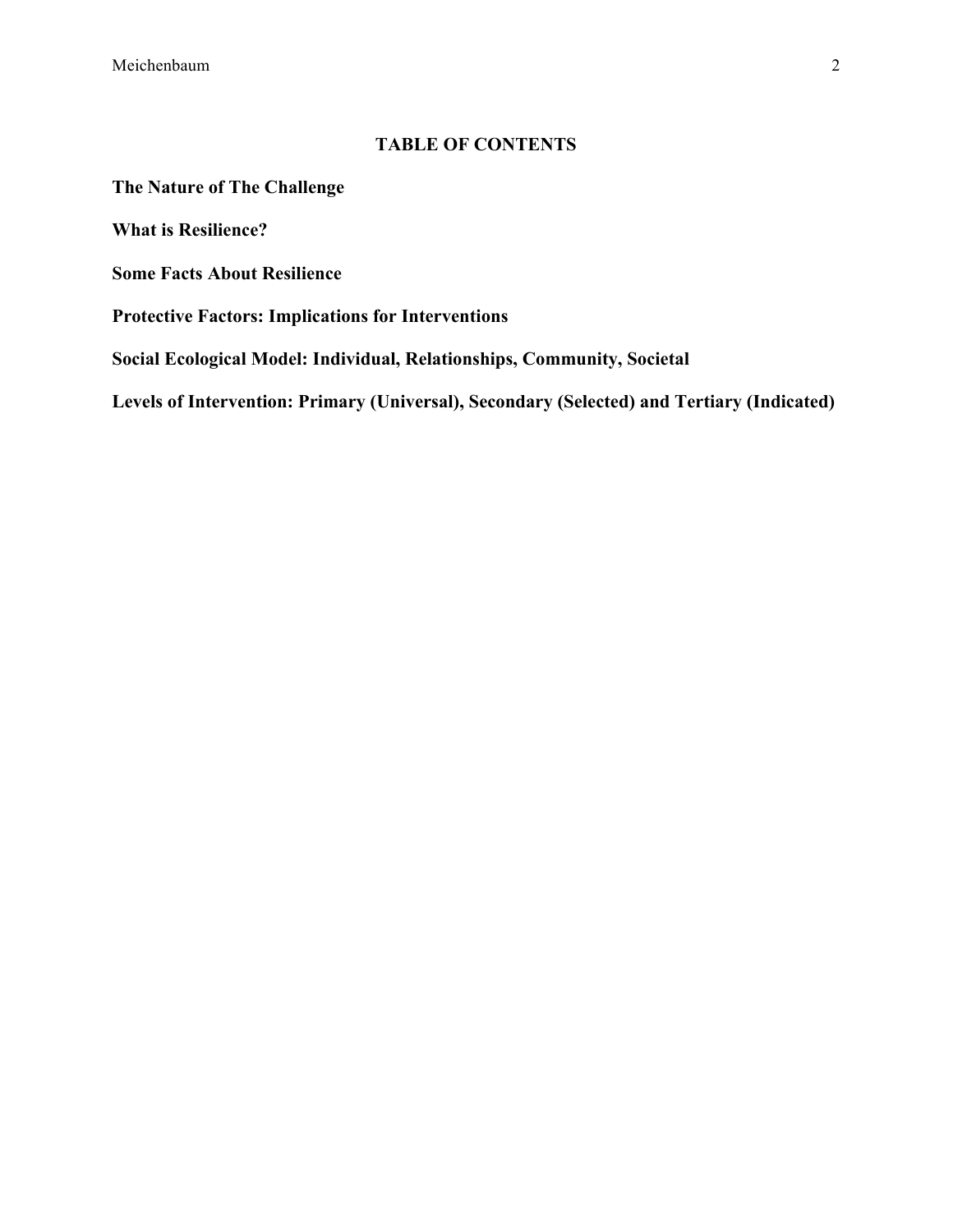Meichenbaum 2

#### **TABLE OF CONTENTS**

**The Nature of The Challenge**

**What is Resilience?**

**Some Facts About Resilience**

**Protective Factors: Implications for Interventions**

**Social Ecological Model: Individual, Relationships, Community, Societal**

**Levels of Intervention: Primary (Universal), Secondary (Selected) and Tertiary (Indicated)**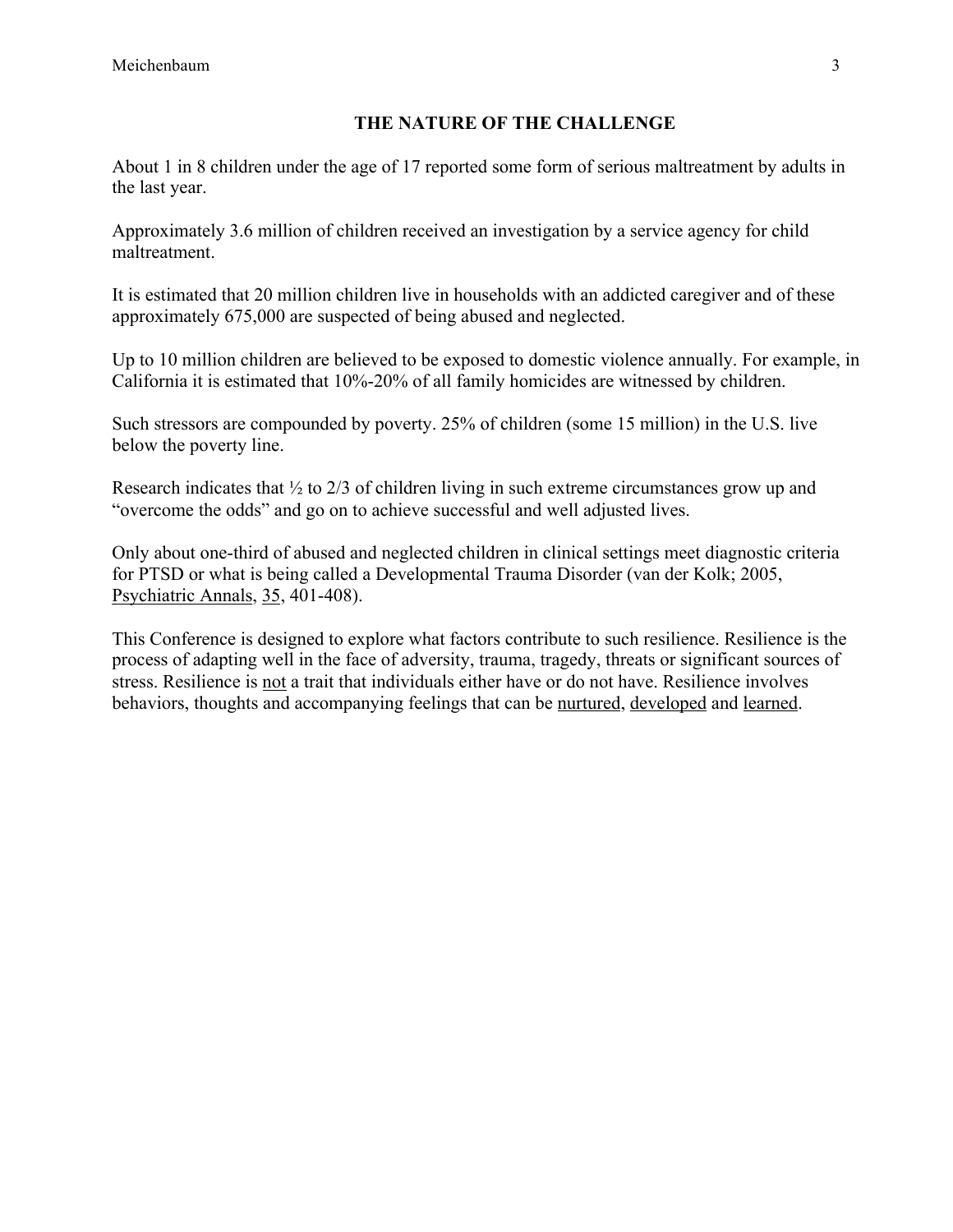### **THE NATURE OF THE CHALLENGE**

About 1 in 8 children under the age of 17 reported some form of serious maltreatment by adults in the last year.

Approximately 3.6 million of children received an investigation by a service agency for child maltreatment.

It is estimated that 20 million children live in households with an addicted caregiver and of these approximately 675,000 are suspected of being abused and neglected.

Up to 10 million children are believed to be exposed to domestic violence annually. For example, in California it is estimated that 10%-20% of all family homicides are witnessed by children.

Such stressors are compounded by poverty. 25% of children (some 15 million) in the U.S. live below the poverty line.

Research indicates that ½ to 2/3 of children living in such extreme circumstances grow up and "overcome the odds" and go on to achieve successful and well adjusted lives.

Only about one-third of abused and neglected children in clinical settings meet diagnostic criteria for PTSD or what is being called a Developmental Trauma Disorder (van der Kolk; 2005, Psychiatric Annals, 35, 401-408).

This Conference is designed to explore what factors contribute to such resilience. Resilience is the process of adapting well in the face of adversity, trauma, tragedy, threats or significant sources of stress. Resilience is not a trait that individuals either have or do not have. Resilience involves behaviors, thoughts and accompanying feelings that can be nurtured, developed and learned.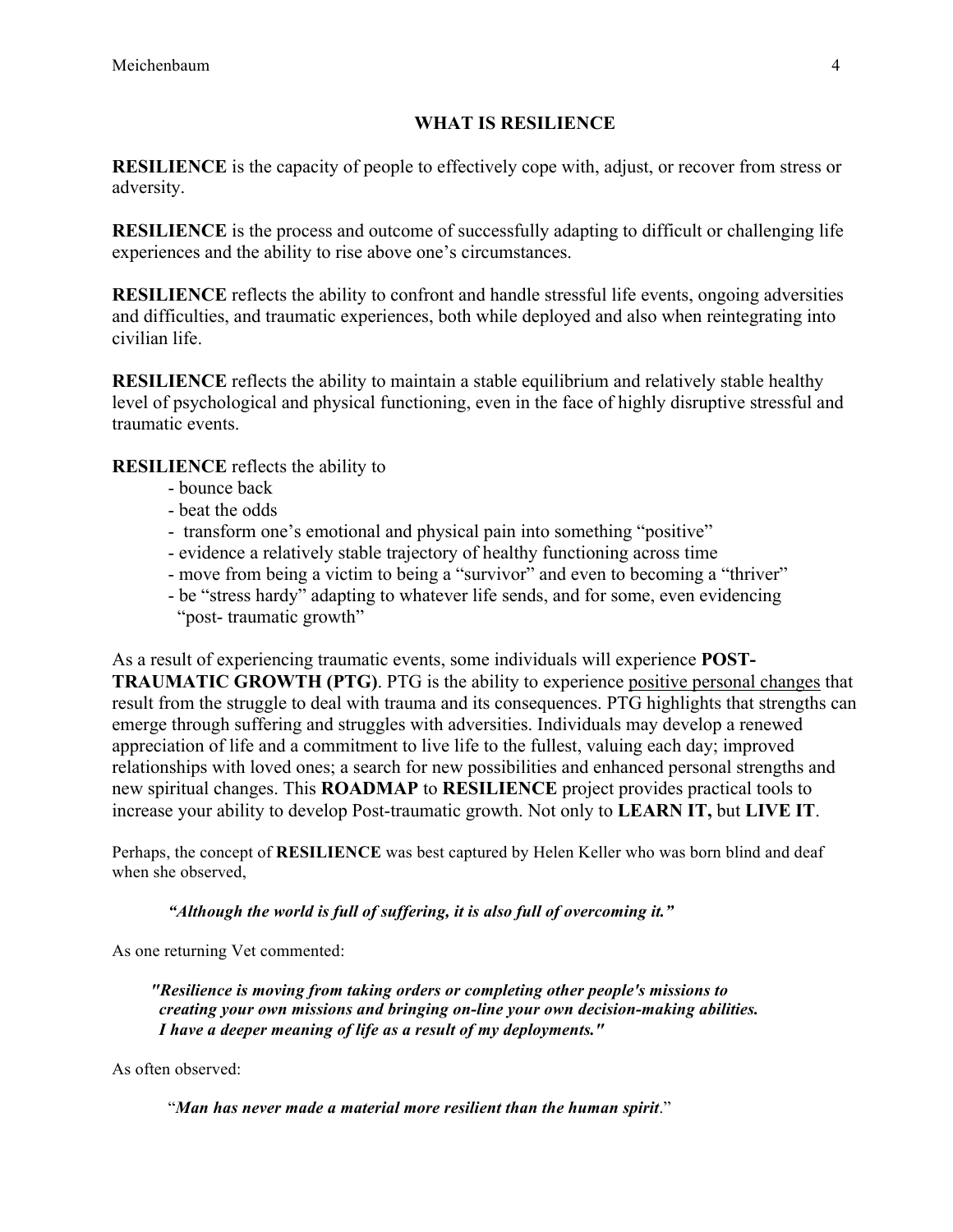## **WHAT IS RESILIENCE**

**RESILIENCE** is the capacity of people to effectively cope with, adjust, or recover from stress or adversity.

**RESILIENCE** is the process and outcome of successfully adapting to difficult or challenging life experiences and the ability to rise above one's circumstances.

**RESILIENCE** reflects the ability to confront and handle stressful life events, ongoing adversities and difficulties, and traumatic experiences, both while deployed and also when reintegrating into civilian life.

**RESILIENCE** reflects the ability to maintain a stable equilibrium and relatively stable healthy level of psychological and physical functioning, even in the face of highly disruptive stressful and traumatic events.

**RESILIENCE** reflects the ability to

- bounce back
- beat the odds
- transform one's emotional and physical pain into something "positive"
- evidence a relatively stable trajectory of healthy functioning across time
- move from being a victim to being a "survivor" and even to becoming a "thriver"
- be "stress hardy" adapting to whatever life sends, and for some, even evidencing "post- traumatic growth"

As a result of experiencing traumatic events, some individuals will experience **POST-TRAUMATIC GROWTH (PTG)**. PTG is the ability to experience positive personal changes that result from the struggle to deal with trauma and its consequences. PTG highlights that strengths can emerge through suffering and struggles with adversities. Individuals may develop a renewed appreciation of life and a commitment to live life to the fullest, valuing each day; improved relationships with loved ones; a search for new possibilities and enhanced personal strengths and new spiritual changes. This **ROADMAP** to **RESILIENCE** project provides practical tools to increase your ability to develop Post-traumatic growth. Not only to **LEARN IT,** but **LIVE IT**.

Perhaps, the concept of **RESILIENCE** was best captured by Helen Keller who was born blind and deaf when she observed,

*"Although the world is full of suffering, it is also full of overcoming it."*

As one returning Vet commented:

 *"Resilience is moving from taking orders or completing other people's missions to creating your own missions and bringing on-line your own decision-making abilities. I have a deeper meaning of life as a result of my deployments."*

As often observed:

"*Man has never made a material more resilient than the human spirit*."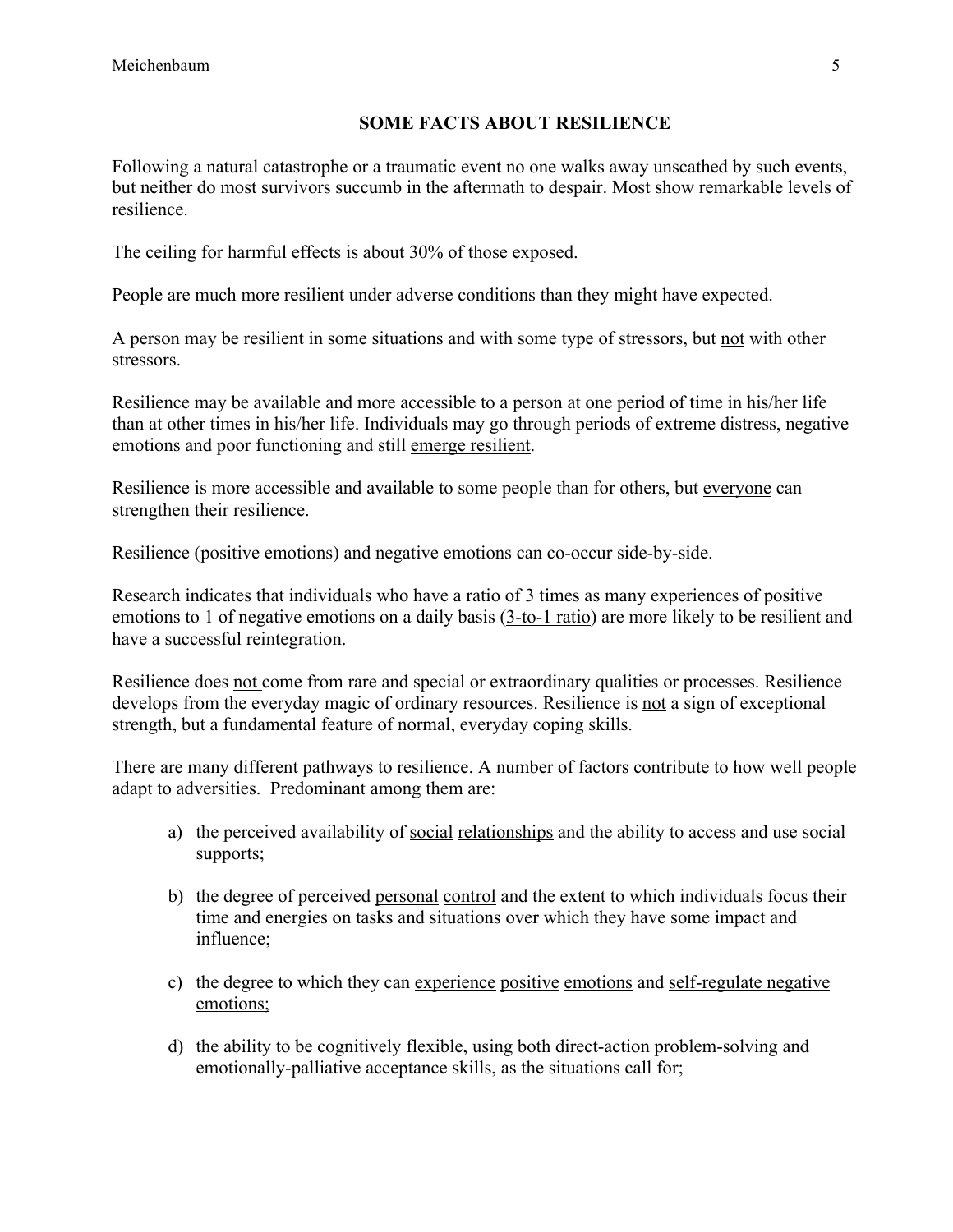## **SOME FACTS ABOUT RESILIENCE**

Following a natural catastrophe or a traumatic event no one walks away unscathed by such events, but neither do most survivors succumb in the aftermath to despair. Most show remarkable levels of resilience.

The ceiling for harmful effects is about 30% of those exposed.

People are much more resilient under adverse conditions than they might have expected.

A person may be resilient in some situations and with some type of stressors, but not with other stressors.

Resilience may be available and more accessible to a person at one period of time in his/her life than at other times in his/her life. Individuals may go through periods of extreme distress, negative emotions and poor functioning and still emerge resilient.

Resilience is more accessible and available to some people than for others, but everyone can strengthen their resilience.

Resilience (positive emotions) and negative emotions can co-occur side-by-side.

Research indicates that individuals who have a ratio of 3 times as many experiences of positive emotions to 1 of negative emotions on a daily basis (3-to-1 ratio) are more likely to be resilient and have a successful reintegration.

Resilience does not come from rare and special or extraordinary qualities or processes. Resilience develops from the everyday magic of ordinary resources. Resilience is not a sign of exceptional strength, but a fundamental feature of normal, everyday coping skills.

There are many different pathways to resilience. A number of factors contribute to how well people adapt to adversities. Predominant among them are:

- a) the perceived availability of social relationships and the ability to access and use social supports;
- b) the degree of perceived personal control and the extent to which individuals focus their time and energies on tasks and situations over which they have some impact and influence;
- c) the degree to which they can experience positive emotions and self-regulate negative emotions;
- d) the ability to be cognitively flexible, using both direct-action problem-solving and emotionally-palliative acceptance skills, as the situations call for;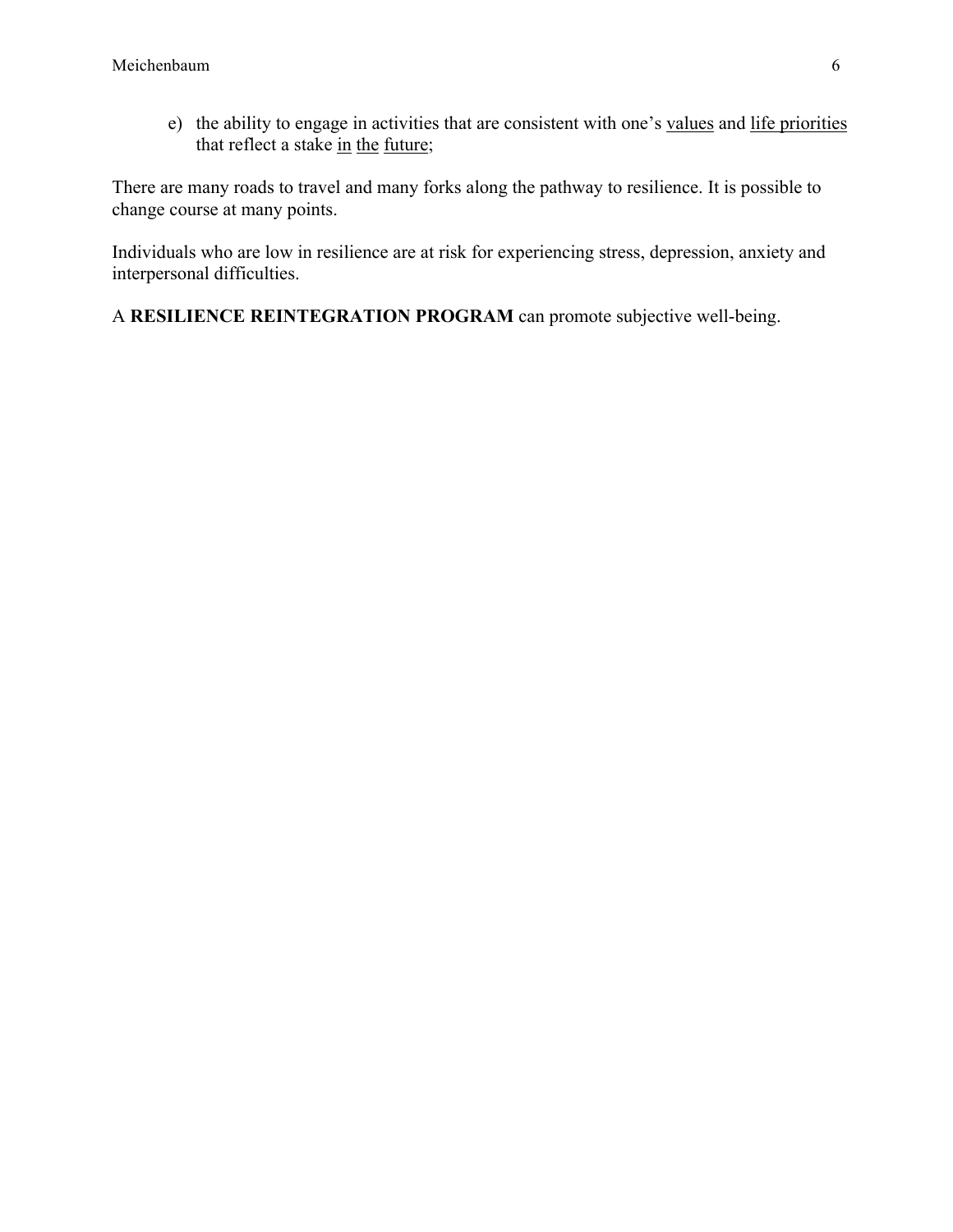e) the ability to engage in activities that are consistent with one's values and life priorities that reflect a stake in the future;

There are many roads to travel and many forks along the pathway to resilience. It is possible to change course at many points.

Individuals who are low in resilience are at risk for experiencing stress, depression, anxiety and interpersonal difficulties.

A **RESILIENCE REINTEGRATION PROGRAM** can promote subjective well-being.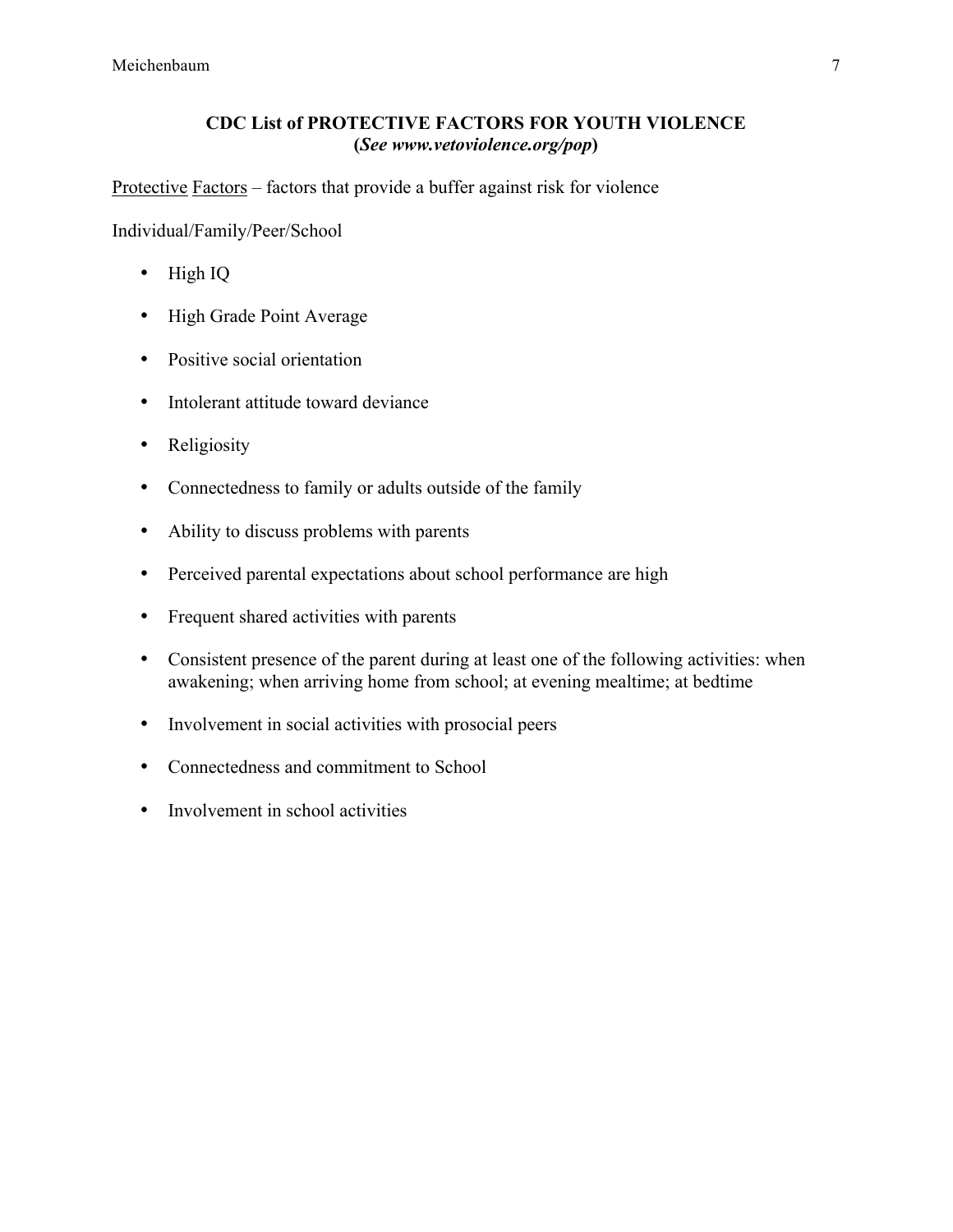## **CDC List of PROTECTIVE FACTORS FOR YOUTH VIOLENCE (***See www.vetoviolence.org/pop***)**

Protective Factors – factors that provide a buffer against risk for violence

Individual/Family/Peer/School

- High IQ
- High Grade Point Average
- Positive social orientation
- Intolerant attitude toward deviance
- Religiosity
- Connectedness to family or adults outside of the family
- Ability to discuss problems with parents
- Perceived parental expectations about school performance are high
- Frequent shared activities with parents
- Consistent presence of the parent during at least one of the following activities: when awakening; when arriving home from school; at evening mealtime; at bedtime
- Involvement in social activities with prosocial peers
- Connectedness and commitment to School
- Involvement in school activities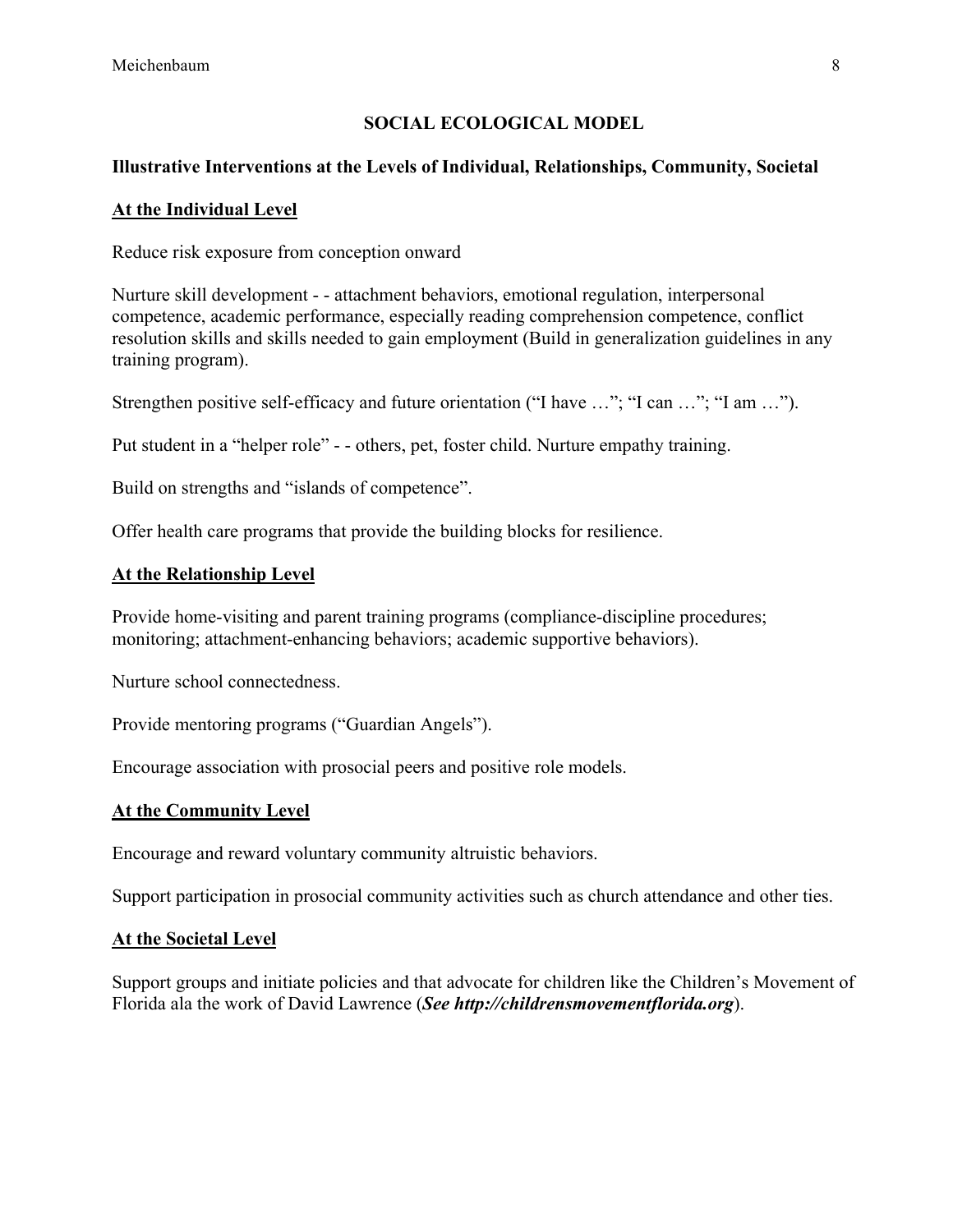## **SOCIAL ECOLOGICAL MODEL**

# **Illustrative Interventions at the Levels of Individual, Relationships, Community, Societal**

### **At the Individual Level**

Reduce risk exposure from conception onward

Nurture skill development - - attachment behaviors, emotional regulation, interpersonal competence, academic performance, especially reading comprehension competence, conflict resolution skills and skills needed to gain employment (Build in generalization guidelines in any training program).

Strengthen positive self-efficacy and future orientation ("I have ..."; "I can ..."; "I am ...").

Put student in a "helper role" - - others, pet, foster child. Nurture empathy training.

Build on strengths and "islands of competence".

Offer health care programs that provide the building blocks for resilience.

#### **At the Relationship Level**

Provide home-visiting and parent training programs (compliance-discipline procedures; monitoring; attachment-enhancing behaviors; academic supportive behaviors).

Nurture school connectedness.

Provide mentoring programs ("Guardian Angels").

Encourage association with prosocial peers and positive role models.

## **At the Community Level**

Encourage and reward voluntary community altruistic behaviors.

Support participation in prosocial community activities such as church attendance and other ties.

#### **At the Societal Level**

Support groups and initiate policies and that advocate for children like the Children's Movement of Florida ala the work of David Lawrence (*See http://childrensmovementflorida.org*).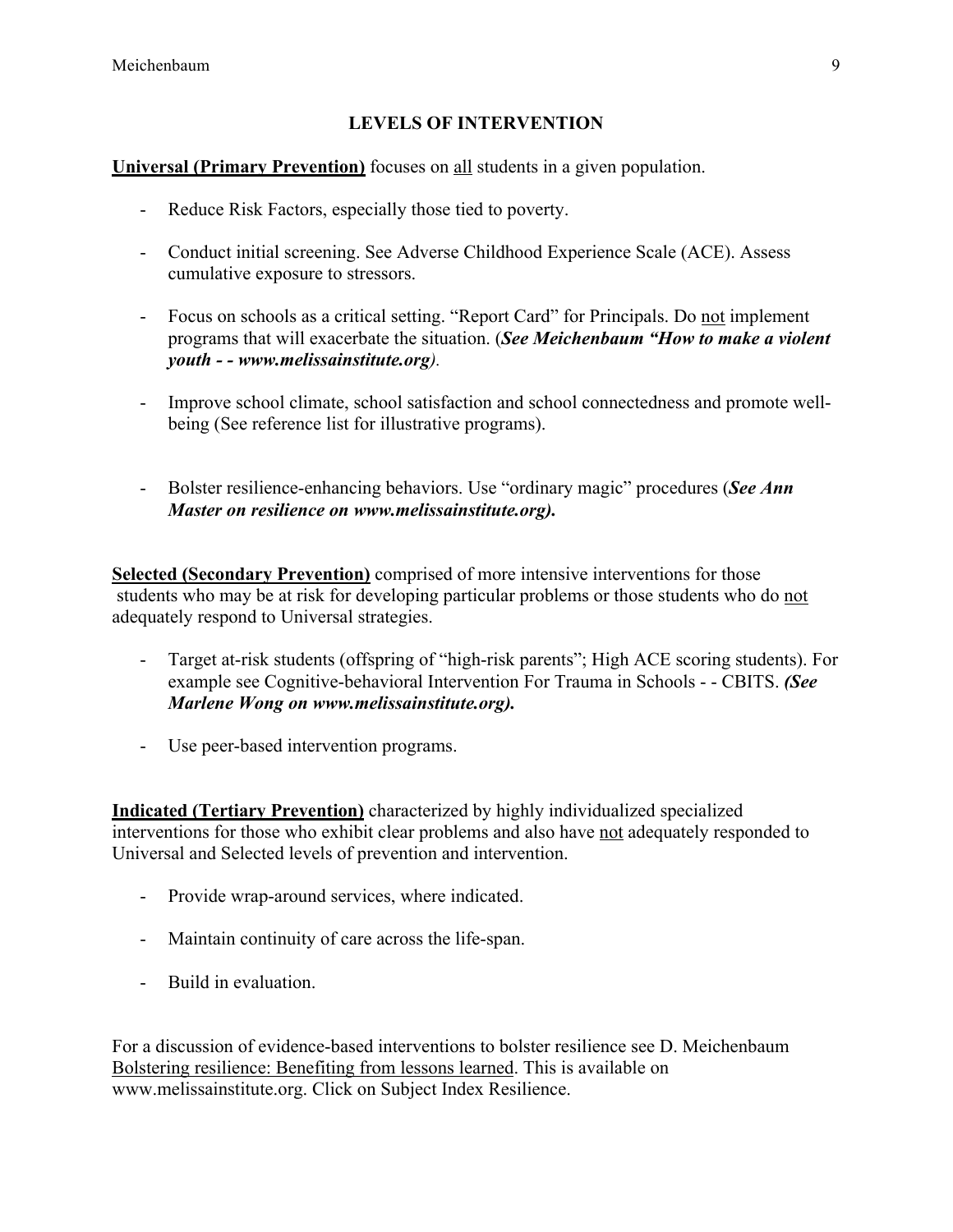## **LEVELS OF INTERVENTION**

## **Universal (Primary Prevention)** focuses on all students in a given population.

- Reduce Risk Factors, especially those tied to poverty.
- Conduct initial screening. See Adverse Childhood Experience Scale (ACE). Assess cumulative exposure to stressors.
- Focus on schools as a critical setting. "Report Card" for Principals. Do not implement programs that will exacerbate the situation. (*See Meichenbaum "How to make a violent youth - - www.melissainstitute.org).*
- Improve school climate, school satisfaction and school connectedness and promote wellbeing (See reference list for illustrative programs).
- Bolster resilience-enhancing behaviors. Use "ordinary magic" procedures (*See Ann Master on resilience on www.melissainstitute.org).*

**Selected (Secondary Prevention)** comprised of more intensive interventions for those students who may be at risk for developing particular problems or those students who do not adequately respond to Universal strategies.

- Target at-risk students (offspring of "high-risk parents"; High ACE scoring students). For example see Cognitive-behavioral Intervention For Trauma in Schools - - CBITS. *(See Marlene Wong on www.melissainstitute.org).*
- Use peer-based intervention programs.

**Indicated (Tertiary Prevention)** characterized by highly individualized specialized interventions for those who exhibit clear problems and also have not adequately responded to Universal and Selected levels of prevention and intervention.

- Provide wrap-around services, where indicated.
- Maintain continuity of care across the life-span.
- Build in evaluation.

For a discussion of evidence-based interventions to bolster resilience see D. Meichenbaum Bolstering resilience: Benefiting from lessons learned. This is available on www.melissainstitute.org. Click on Subject Index Resilience.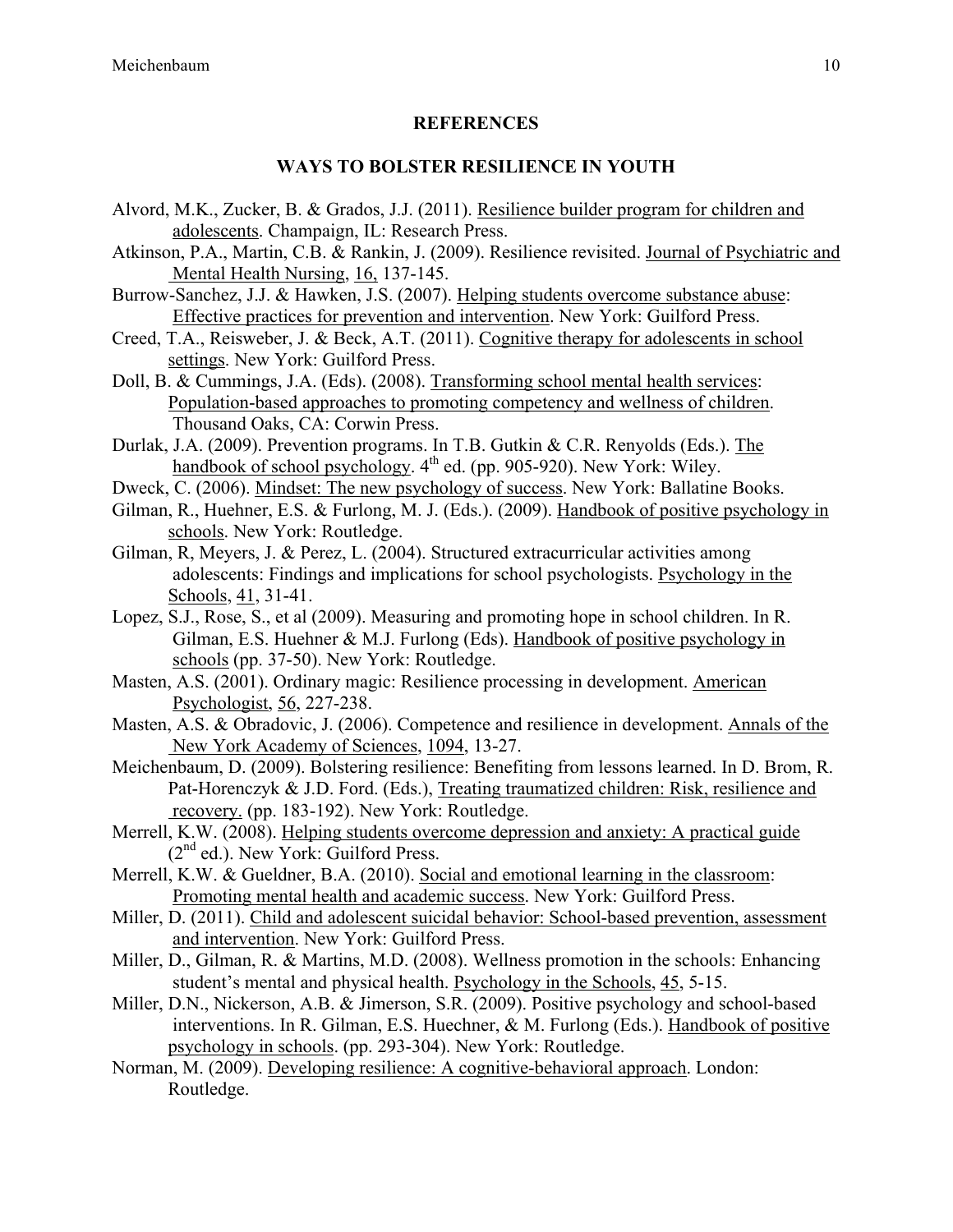#### **REFERENCES**

#### **WAYS TO BOLSTER RESILIENCE IN YOUTH**

- Alvord, M.K., Zucker, B. & Grados, J.J. (2011). Resilience builder program for children and adolescents. Champaign, IL: Research Press.
- Atkinson, P.A., Martin, C.B. & Rankin, J. (2009). Resilience revisited. Journal of Psychiatric and Mental Health Nursing, 16, 137-145.
- Burrow-Sanchez, J.J. & Hawken, J.S. (2007). Helping students overcome substance abuse: Effective practices for prevention and intervention. New York: Guilford Press.
- Creed, T.A., Reisweber, J. & Beck, A.T. (2011). Cognitive therapy for adolescents in school settings. New York: Guilford Press.
- Doll, B. & Cummings, J.A. (Eds). (2008). Transforming school mental health services: Population-based approaches to promoting competency and wellness of children. Thousand Oaks, CA: Corwin Press.
- Durlak, J.A. (2009). Prevention programs. In T.B. Gutkin & C.R. Renyolds (Eds.). The handbook of school psychology. 4<sup>th</sup> ed. (pp. 905-920). New York: Wiley.
- Dweck, C. (2006). Mindset: The new psychology of success. New York: Ballatine Books.
- Gilman, R., Huehner, E.S. & Furlong, M. J. (Eds.). (2009). Handbook of positive psychology in schools. New York: Routledge.
- Gilman, R, Meyers, J. & Perez, L. (2004). Structured extracurricular activities among adolescents: Findings and implications for school psychologists. Psychology in the Schools, 41, 31-41.
- Lopez, S.J., Rose, S., et al (2009). Measuring and promoting hope in school children. In R. Gilman, E.S. Huehner & M.J. Furlong (Eds). Handbook of positive psychology in schools (pp. 37-50). New York: Routledge.
- Masten, A.S. (2001). Ordinary magic: Resilience processing in development. American Psychologist, 56, 227-238.
- Masten, A.S. & Obradovic, J. (2006). Competence and resilience in development. Annals of the New York Academy of Sciences, 1094, 13-27.
- Meichenbaum, D. (2009). Bolstering resilience: Benefiting from lessons learned. In D. Brom, R. Pat-Horenczyk & J.D. Ford. (Eds.), Treating traumatized children: Risk, resilience and recovery. (pp. 183-192). New York: Routledge.
- Merrell, K.W. (2008). Helping students overcome depression and anxiety: A practical guide  $(2<sup>nd</sup>$  ed.). New York: Guilford Press.
- Merrell, K.W. & Gueldner, B.A. (2010). Social and emotional learning in the classroom: Promoting mental health and academic success. New York: Guilford Press.
- Miller, D. (2011). Child and adolescent suicidal behavior: School-based prevention, assessment and intervention. New York: Guilford Press.
- Miller, D., Gilman, R. & Martins, M.D. (2008). Wellness promotion in the schools: Enhancing student's mental and physical health. Psychology in the Schools, 45, 5-15.
- Miller, D.N., Nickerson, A.B. & Jimerson, S.R. (2009). Positive psychology and school-based interventions. In R. Gilman, E.S. Huechner, & M. Furlong (Eds.). Handbook of positive psychology in schools. (pp. 293-304). New York: Routledge.
- Norman, M. (2009). Developing resilience: A cognitive-behavioral approach. London: Routledge.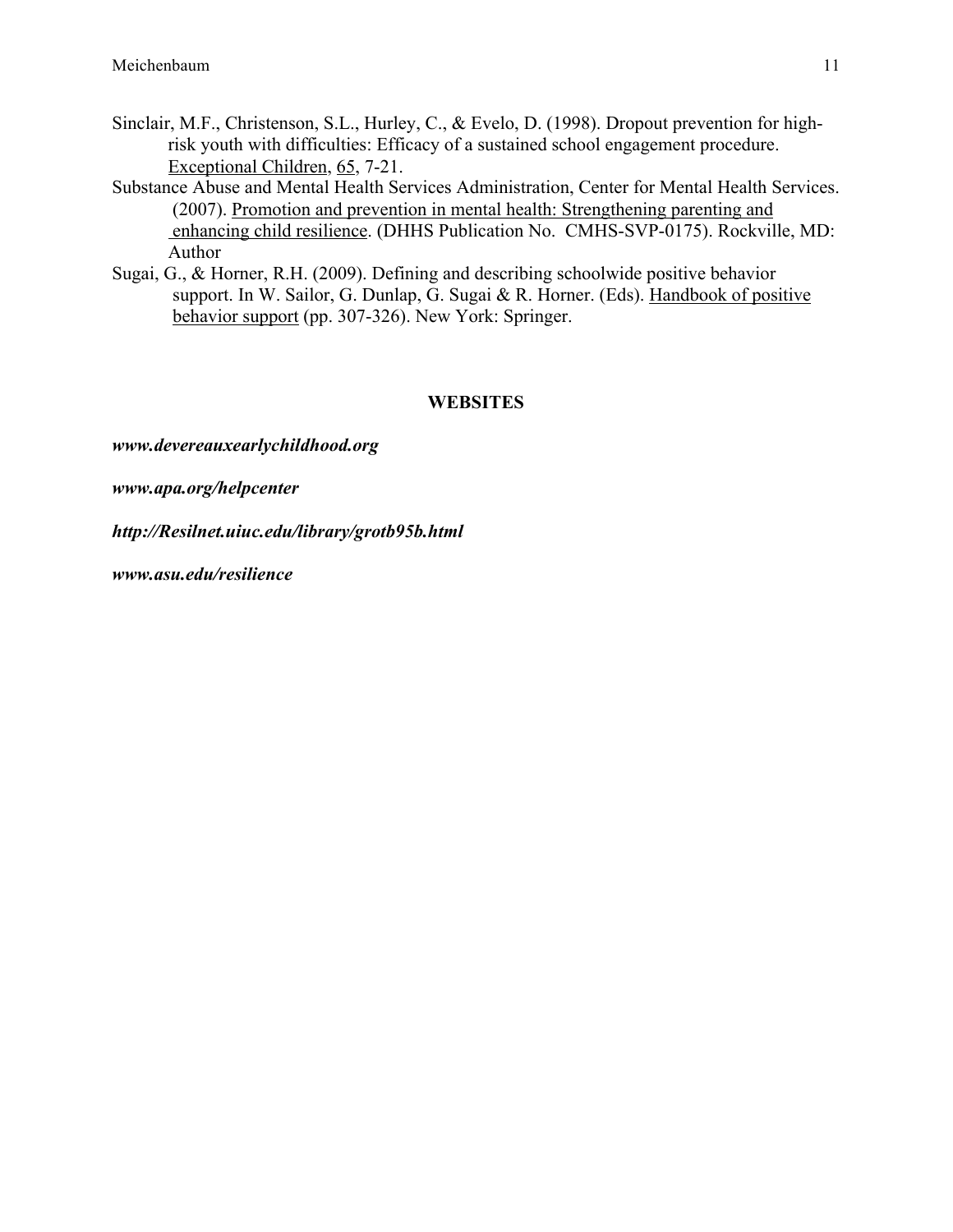- Sinclair, M.F., Christenson, S.L., Hurley, C., & Evelo, D. (1998). Dropout prevention for highrisk youth with difficulties: Efficacy of a sustained school engagement procedure. Exceptional Children, 65, 7-21.
- Substance Abuse and Mental Health Services Administration, Center for Mental Health Services. (2007). Promotion and prevention in mental health: Strengthening parenting and enhancing child resilience. (DHHS Publication No. CMHS-SVP-0175). Rockville, MD: Author
- Sugai, G., & Horner, R.H. (2009). Defining and describing schoolwide positive behavior support. In W. Sailor, G. Dunlap, G. Sugai & R. Horner. (Eds). Handbook of positive behavior support (pp. 307-326). New York: Springer.

#### **WEBSITES**

*www.devereauxearlychildhood.org*

*www.apa.org/helpcenter*

*http://Resilnet.uiuc.edu/library/grotb95b.html*

*www.asu.edu/resilience*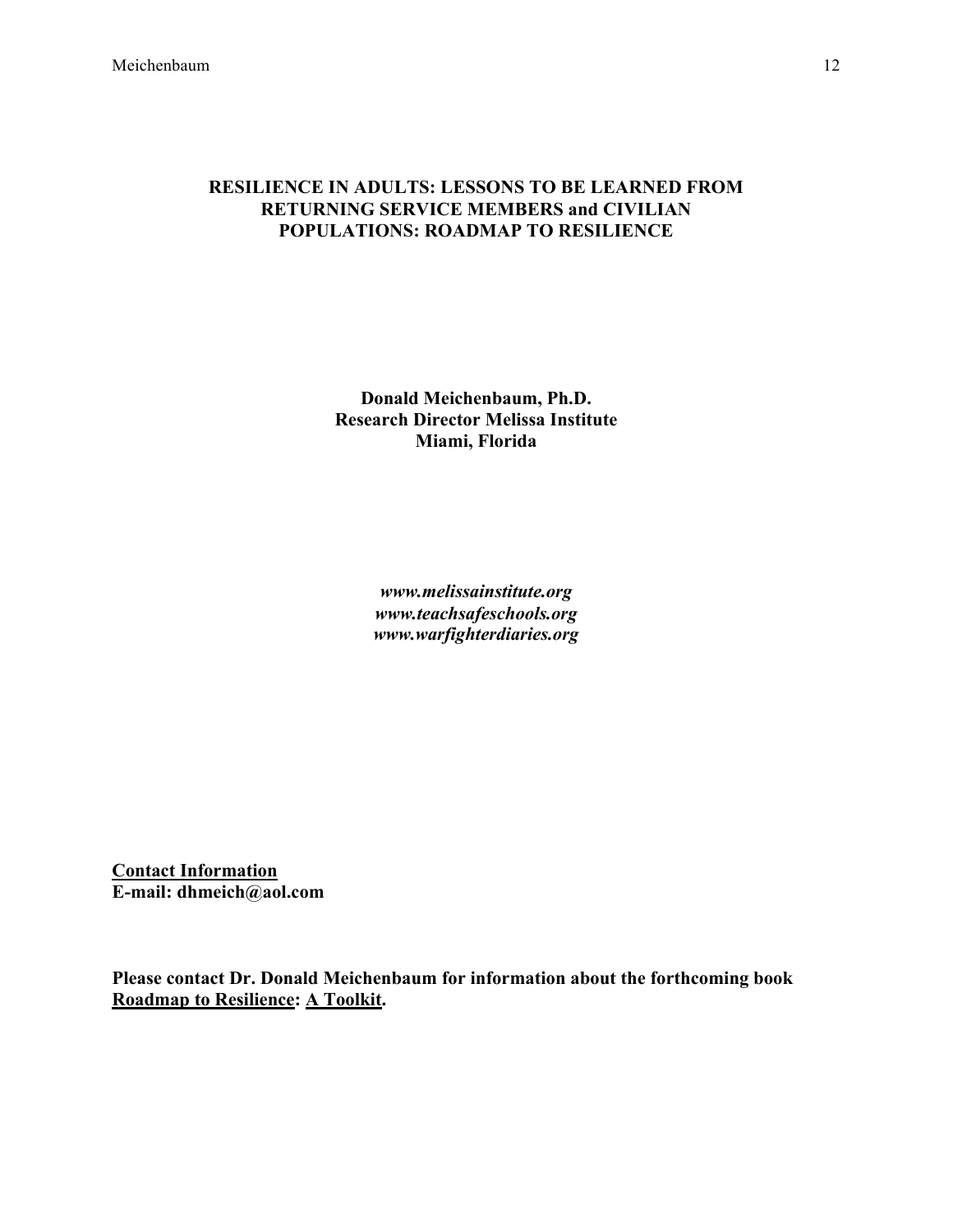#### **RESILIENCE IN ADULTS: LESSONS TO BE LEARNED FROM RETURNING SERVICE MEMBERS and CIVILIAN POPULATIONS: ROADMAP TO RESILIENCE**

**Donald Meichenbaum, Ph.D. Research Director Melissa Institute Miami, Florida**

> *www.melissainstitute.org www.teachsafeschools.org www.warfighterdiaries.org*

**Contact Information E-mail: dhmeich@aol.com**

**Please contact Dr. Donald Meichenbaum for information about the forthcoming book Roadmap to Resilience: A Toolkit.**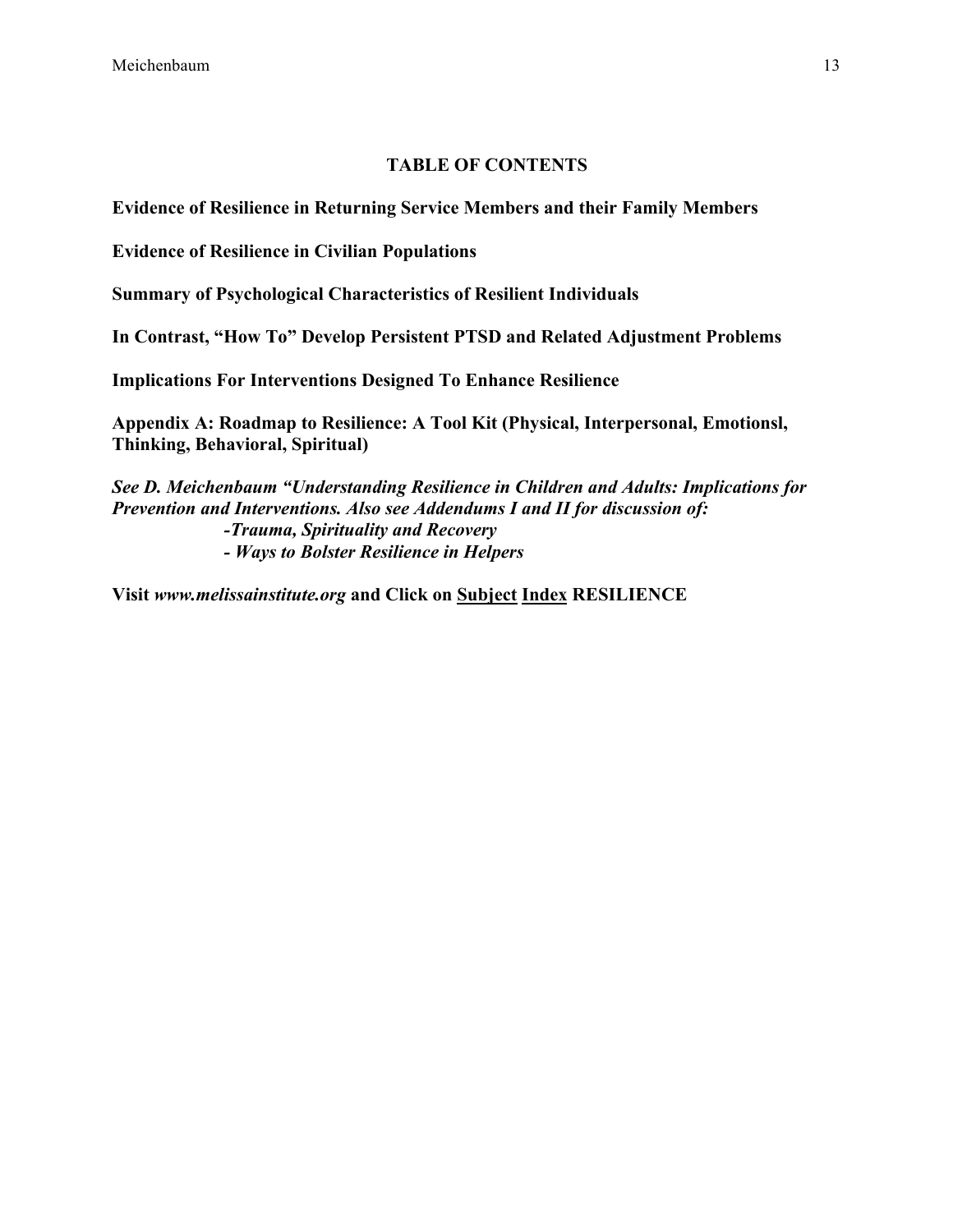## **TABLE OF CONTENTS**

**Evidence of Resilience in Returning Service Members and their Family Members** 

**Evidence of Resilience in Civilian Populations**

**Summary of Psychological Characteristics of Resilient Individuals**

**In Contrast, "How To" Develop Persistent PTSD and Related Adjustment Problems**

**Implications For Interventions Designed To Enhance Resilience**

**Appendix A: Roadmap to Resilience: A Tool Kit (Physical, Interpersonal, Emotionsl, Thinking, Behavioral, Spiritual)**

*See D. Meichenbaum "Understanding Resilience in Children and Adults: Implications for Prevention and Interventions. Also see Addendums I and II for discussion of: -Trauma, Spirituality and Recovery - Ways to Bolster Resilience in Helpers*

**Visit** *www.melissainstitute.org* **and Click on Subject Index RESILIENCE**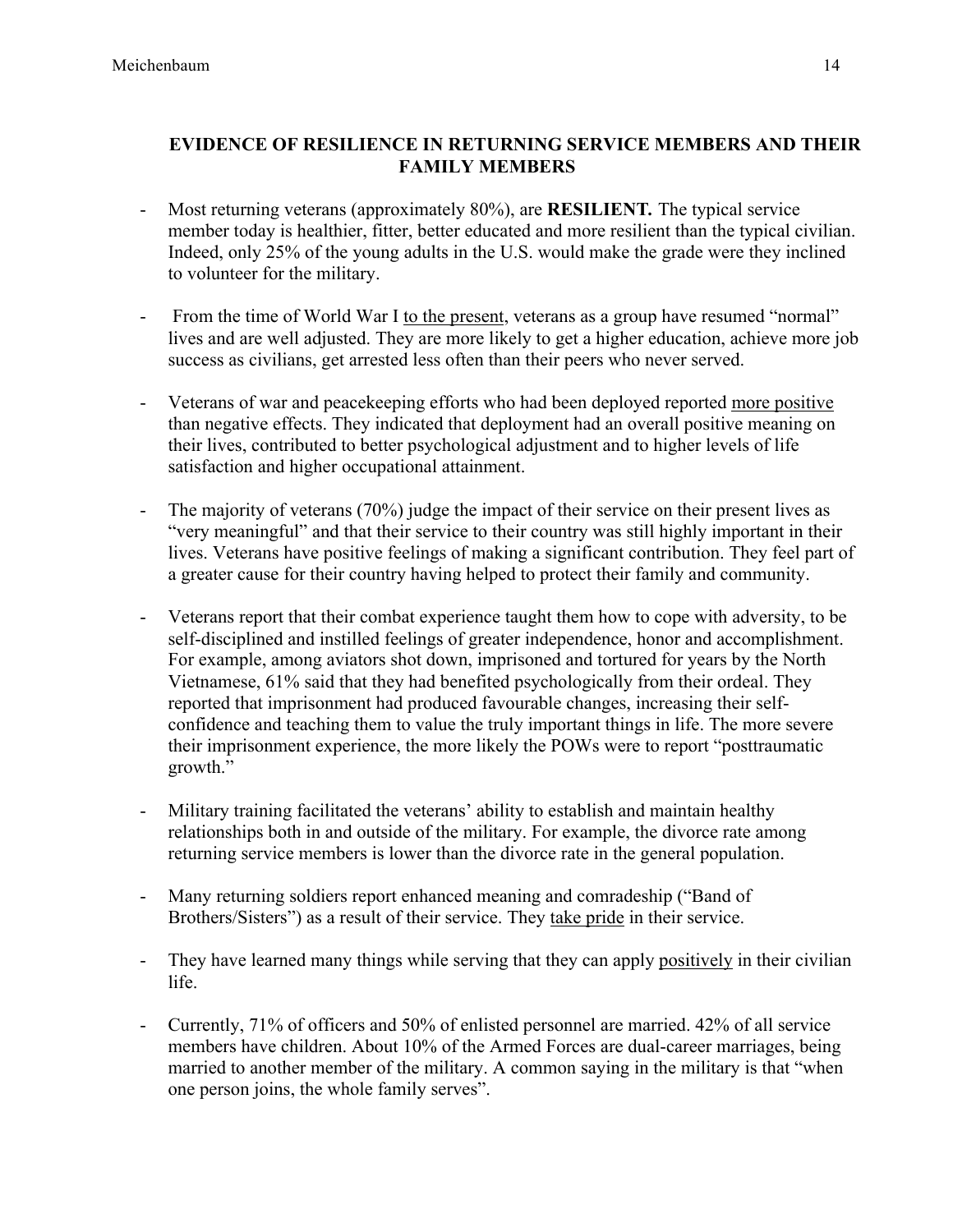# **EVIDENCE OF RESILIENCE IN RETURNING SERVICE MEMBERS AND THEIR FAMILY MEMBERS**

- Most returning veterans (approximately 80%), are **RESILIENT***.* The typical service member today is healthier, fitter, better educated and more resilient than the typical civilian. Indeed, only 25% of the young adults in the U.S. would make the grade were they inclined to volunteer for the military.
- From the time of World War I to the present, veterans as a group have resumed "normal" lives and are well adjusted. They are more likely to get a higher education, achieve more job success as civilians, get arrested less often than their peers who never served.
- Veterans of war and peacekeeping efforts who had been deployed reported more positive than negative effects. They indicated that deployment had an overall positive meaning on their lives, contributed to better psychological adjustment and to higher levels of life satisfaction and higher occupational attainment.
- The majority of veterans (70%) judge the impact of their service on their present lives as "very meaningful" and that their service to their country was still highly important in their lives. Veterans have positive feelings of making a significant contribution. They feel part of a greater cause for their country having helped to protect their family and community.
- Veterans report that their combat experience taught them how to cope with adversity, to be self-disciplined and instilled feelings of greater independence, honor and accomplishment. For example, among aviators shot down, imprisoned and tortured for years by the North Vietnamese, 61% said that they had benefited psychologically from their ordeal. They reported that imprisonment had produced favourable changes, increasing their selfconfidence and teaching them to value the truly important things in life. The more severe their imprisonment experience, the more likely the POWs were to report "posttraumatic growth."
- Military training facilitated the veterans' ability to establish and maintain healthy relationships both in and outside of the military. For example, the divorce rate among returning service members is lower than the divorce rate in the general population.
- Many returning soldiers report enhanced meaning and comradeship ("Band of Brothers/Sisters") as a result of their service. They take pride in their service.
- They have learned many things while serving that they can apply positively in their civilian life.
- Currently, 71% of officers and 50% of enlisted personnel are married. 42% of all service members have children. About 10% of the Armed Forces are dual-career marriages, being married to another member of the military. A common saying in the military is that "when one person joins, the whole family serves".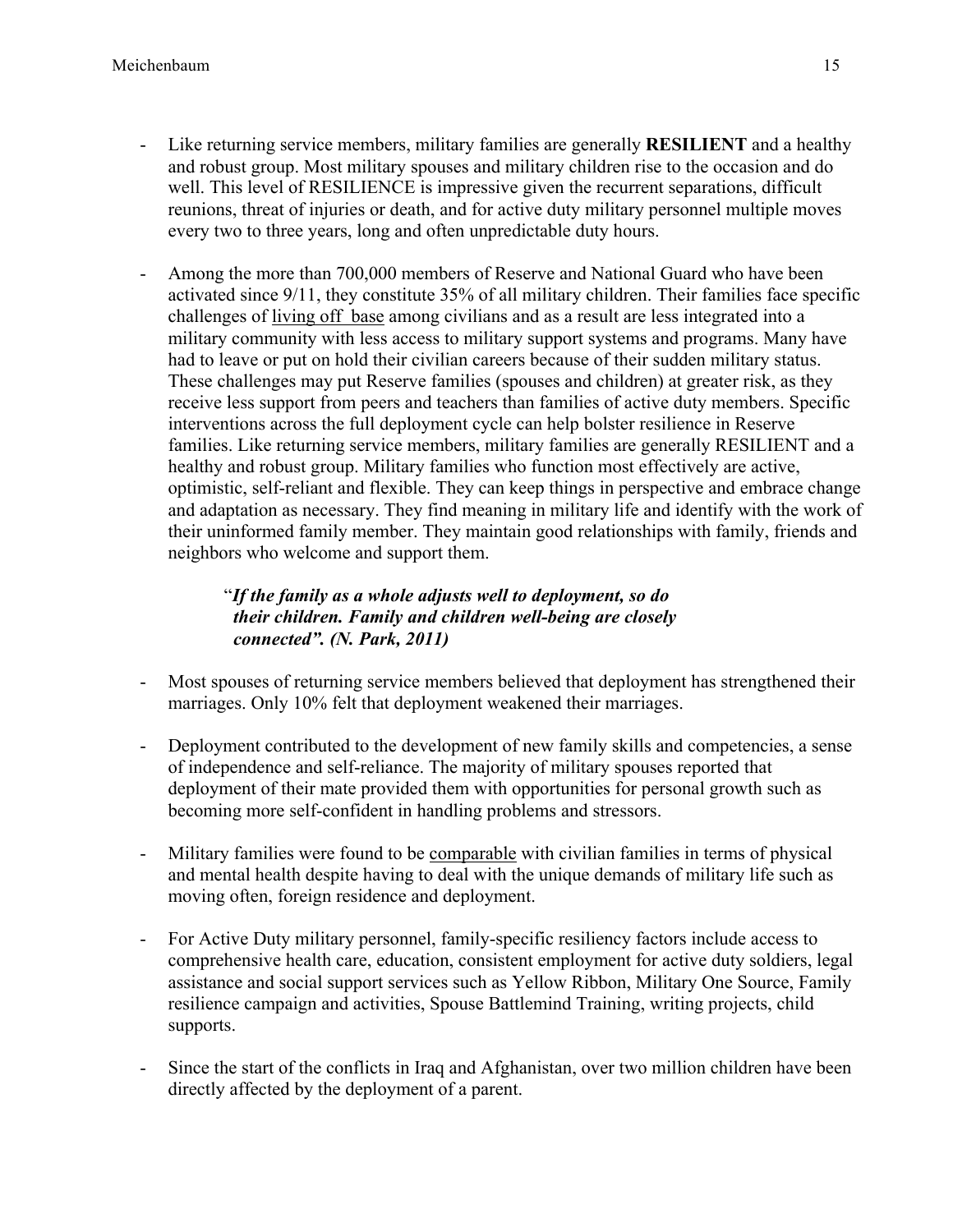- Like returning service members, military families are generally **RESILIENT** and a healthy and robust group. Most military spouses and military children rise to the occasion and do well. This level of RESILIENCE is impressive given the recurrent separations, difficult reunions, threat of injuries or death, and for active duty military personnel multiple moves every two to three years, long and often unpredictable duty hours.
- Among the more than 700,000 members of Reserve and National Guard who have been activated since 9/11, they constitute 35% of all military children. Their families face specific challenges of living off base among civilians and as a result are less integrated into a military community with less access to military support systems and programs. Many have had to leave or put on hold their civilian careers because of their sudden military status. These challenges may put Reserve families (spouses and children) at greater risk, as they receive less support from peers and teachers than families of active duty members. Specific interventions across the full deployment cycle can help bolster resilience in Reserve families. Like returning service members, military families are generally RESILIENT and a healthy and robust group. Military families who function most effectively are active, optimistic, self-reliant and flexible. They can keep things in perspective and embrace change and adaptation as necessary. They find meaning in military life and identify with the work of their uninformed family member. They maintain good relationships with family, friends and neighbors who welcome and support them.

# "*If the family as a whole adjusts well to deployment, so do their children. Family and children well-being are closely connected". (N. Park, 2011)*

- Most spouses of returning service members believed that deployment has strengthened their marriages. Only 10% felt that deployment weakened their marriages.
- Deployment contributed to the development of new family skills and competencies, a sense of independence and self-reliance. The majority of military spouses reported that deployment of their mate provided them with opportunities for personal growth such as becoming more self-confident in handling problems and stressors.
- Military families were found to be comparable with civilian families in terms of physical and mental health despite having to deal with the unique demands of military life such as moving often, foreign residence and deployment.
- For Active Duty military personnel, family-specific resiliency factors include access to comprehensive health care, education, consistent employment for active duty soldiers, legal assistance and social support services such as Yellow Ribbon, Military One Source, Family resilience campaign and activities, Spouse Battlemind Training, writing projects, child supports.
- Since the start of the conflicts in Iraq and Afghanistan, over two million children have been directly affected by the deployment of a parent.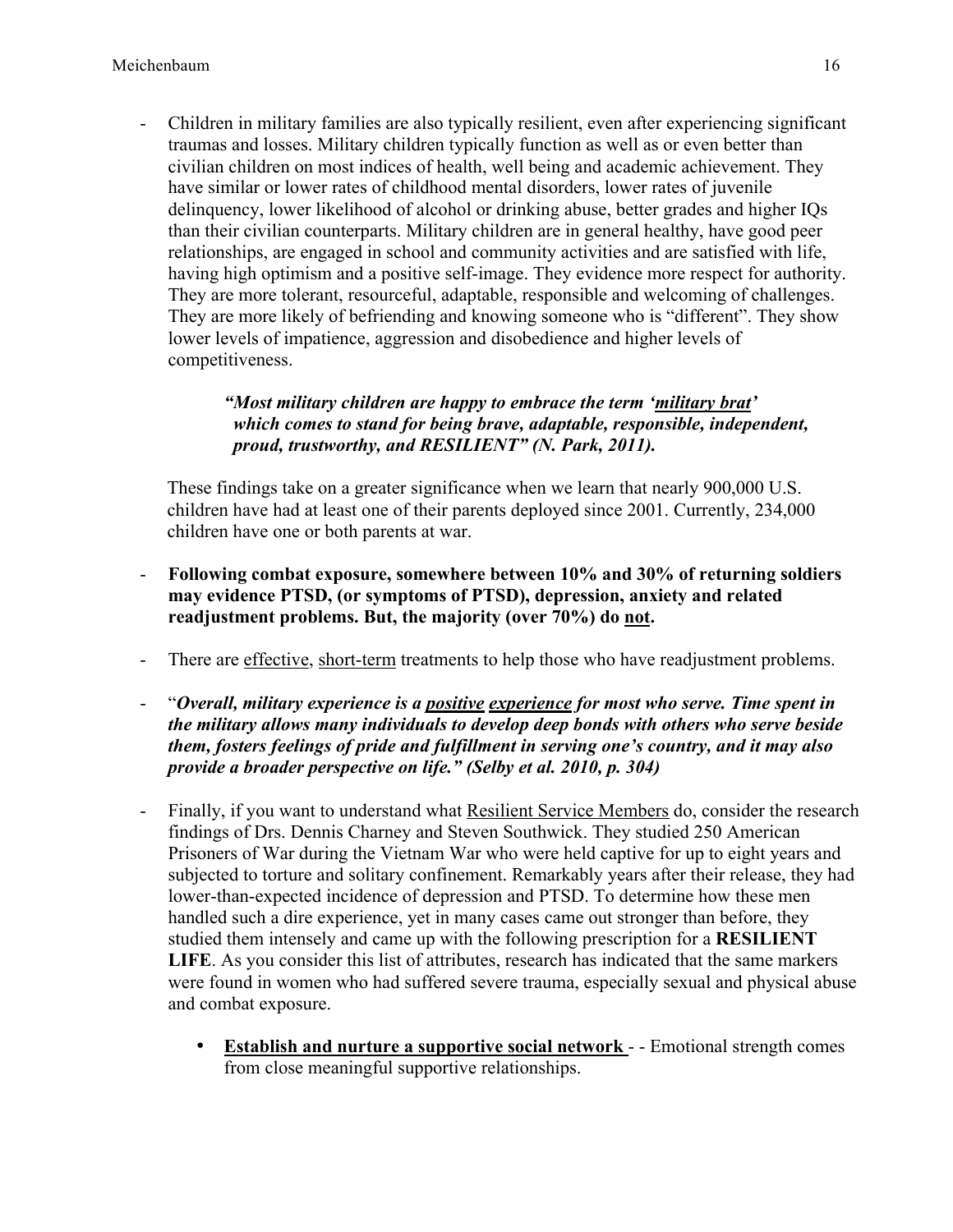- Children in military families are also typically resilient, even after experiencing significant traumas and losses. Military children typically function as well as or even better than civilian children on most indices of health, well being and academic achievement. They have similar or lower rates of childhood mental disorders, lower rates of juvenile delinquency, lower likelihood of alcohol or drinking abuse, better grades and higher IQs than their civilian counterparts. Military children are in general healthy, have good peer relationships, are engaged in school and community activities and are satisfied with life, having high optimism and a positive self-image. They evidence more respect for authority. They are more tolerant, resourceful, adaptable, responsible and welcoming of challenges. They are more likely of befriending and knowing someone who is "different". They show lower levels of impatience, aggression and disobedience and higher levels of competitiveness.

## *"Most military children are happy to embrace the term 'military brat' which comes to stand for being brave, adaptable, responsible, independent, proud, trustworthy, and RESILIENT" (N. Park, 2011).*

These findings take on a greater significance when we learn that nearly 900,000 U.S. children have had at least one of their parents deployed since 2001. Currently, 234,000 children have one or both parents at war.

- **Following combat exposure, somewhere between 10% and 30% of returning soldiers may evidence PTSD, (or symptoms of PTSD), depression, anxiety and related readjustment problems. But, the majority (over 70%) do not.**
- There are effective, short-term treatments to help those who have readjustment problems.
- "*Overall, military experience is a positive experience for most who serve. Time spent in the military allows many individuals to develop deep bonds with others who serve beside them, fosters feelings of pride and fulfillment in serving one's country, and it may also provide a broader perspective on life." (Selby et al. 2010, p. 304)*
- Finally, if you want to understand what Resilient Service Members do, consider the research findings of Drs. Dennis Charney and Steven Southwick. They studied 250 American Prisoners of War during the Vietnam War who were held captive for up to eight years and subjected to torture and solitary confinement. Remarkably years after their release, they had lower-than-expected incidence of depression and PTSD. To determine how these men handled such a dire experience, yet in many cases came out stronger than before, they studied them intensely and came up with the following prescription for a **RESILIENT LIFE**. As you consider this list of attributes, research has indicated that the same markers were found in women who had suffered severe trauma, especially sexual and physical abuse and combat exposure.
	- **Establish and nurture a supportive social network** - Emotional strength comes from close meaningful supportive relationships.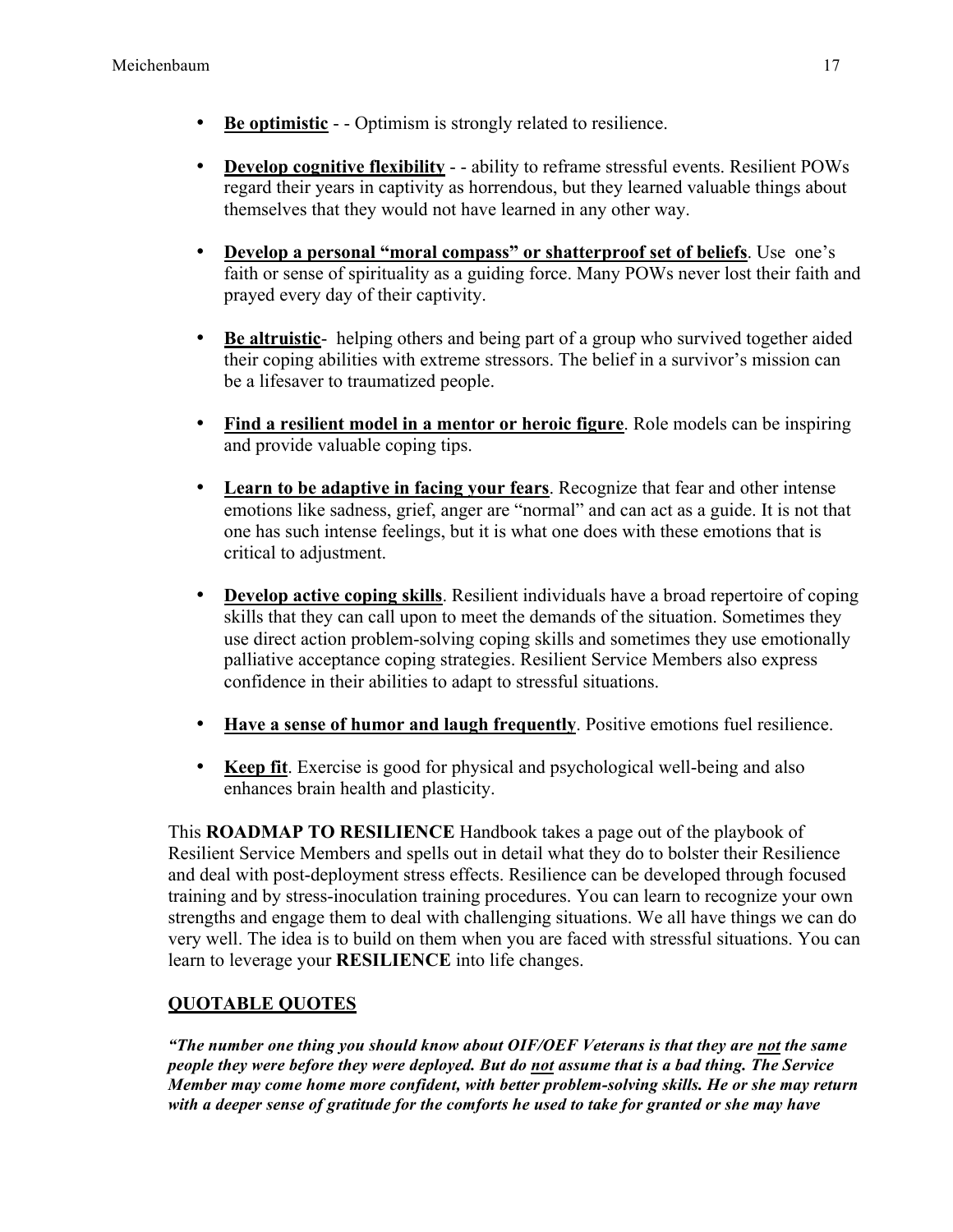- **Be optimistic** - Optimism is strongly related to resilience.
- **Develop cognitive flexibility** - ability to reframe stressful events. Resilient POWs regard their years in captivity as horrendous, but they learned valuable things about themselves that they would not have learned in any other way.
- **Develop a personal "moral compass" or shatterproof set of beliefs**. Use one's faith or sense of spirituality as a guiding force. Many POWs never lost their faith and prayed every day of their captivity.
- **Be altruistic** helping others and being part of a group who survived together aided their coping abilities with extreme stressors. The belief in a survivor's mission can be a lifesaver to traumatized people.
- **Find a resilient model in a mentor or heroic figure**. Role models can be inspiring and provide valuable coping tips.
- **Learn to be adaptive in facing your fears**. Recognize that fear and other intense emotions like sadness, grief, anger are "normal" and can act as a guide. It is not that one has such intense feelings, but it is what one does with these emotions that is critical to adjustment.
- **Develop active coping skills**. Resilient individuals have a broad repertoire of coping skills that they can call upon to meet the demands of the situation. Sometimes they use direct action problem-solving coping skills and sometimes they use emotionally palliative acceptance coping strategies. Resilient Service Members also express confidence in their abilities to adapt to stressful situations.
- **Have a sense of humor and laugh frequently**. Positive emotions fuel resilience.
- **Keep fit**. Exercise is good for physical and psychological well-being and also enhances brain health and plasticity.

This **ROADMAP TO RESILIENCE** Handbook takes a page out of the playbook of Resilient Service Members and spells out in detail what they do to bolster their Resilience and deal with post-deployment stress effects. Resilience can be developed through focused training and by stress-inoculation training procedures. You can learn to recognize your own strengths and engage them to deal with challenging situations. We all have things we can do very well. The idea is to build on them when you are faced with stressful situations. You can learn to leverage your **RESILIENCE** into life changes.

# **QUOTABLE QUOTES**

*"The number one thing you should know about OIF/OEF Veterans is that they are not the same people they were before they were deployed. But do not assume that is a bad thing. The Service Member may come home more confident, with better problem-solving skills. He or she may return with a deeper sense of gratitude for the comforts he used to take for granted or she may have*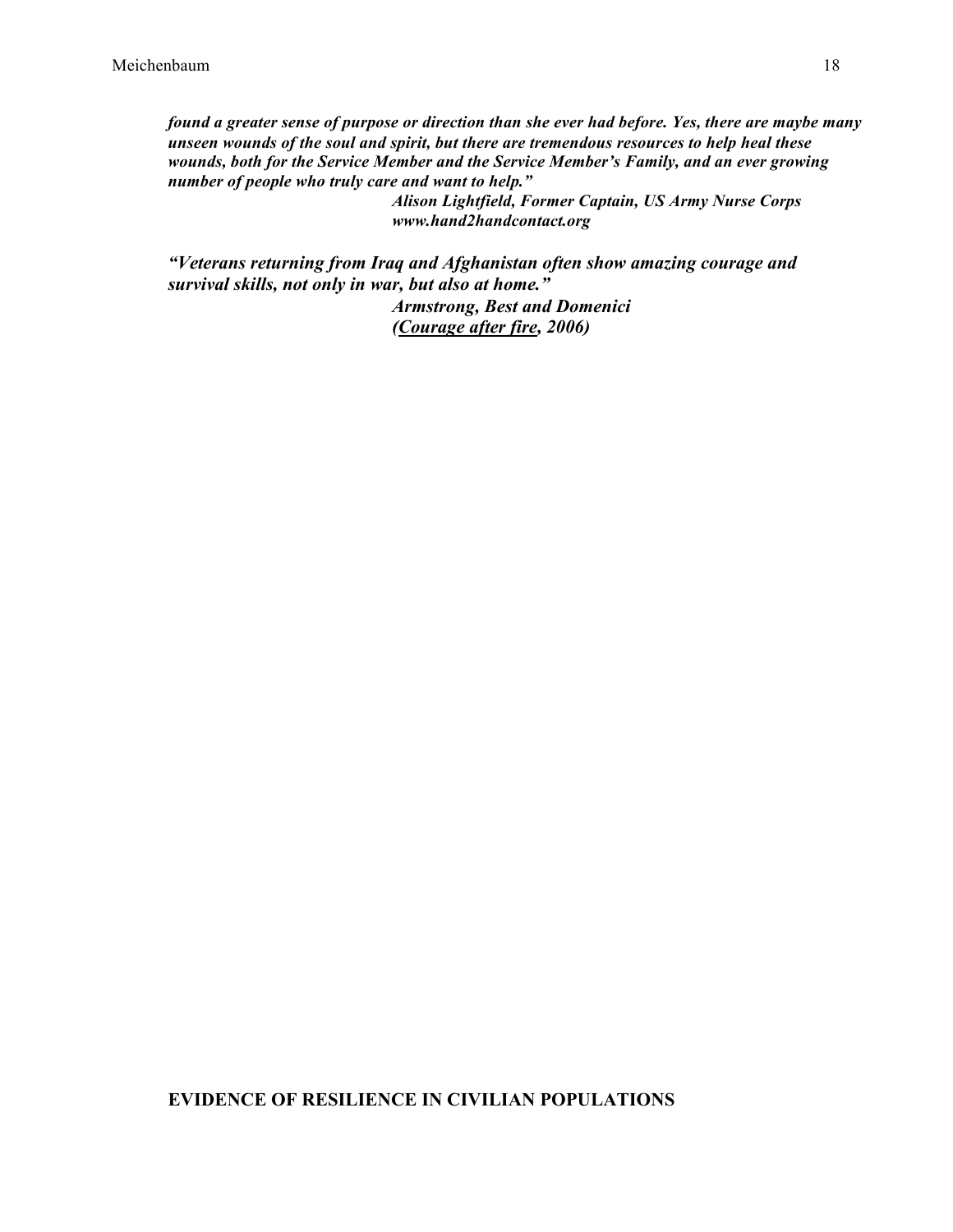*found a greater sense of purpose or direction than she ever had before. Yes, there are maybe many unseen wounds of the soul and spirit, but there are tremendous resources to help heal these wounds, both for the Service Member and the Service Member's Family, and an ever growing number of people who truly care and want to help."*

*Alison Lightfield, Former Captain, US Army Nurse Corps www.hand2handcontact.org*

*"Veterans returning from Iraq and Afghanistan often show amazing courage and survival skills, not only in war, but also at home."*

> *Armstrong, Best and Domenici (Courage after fire, 2006)*

## **EVIDENCE OF RESILIENCE IN CIVILIAN POPULATIONS**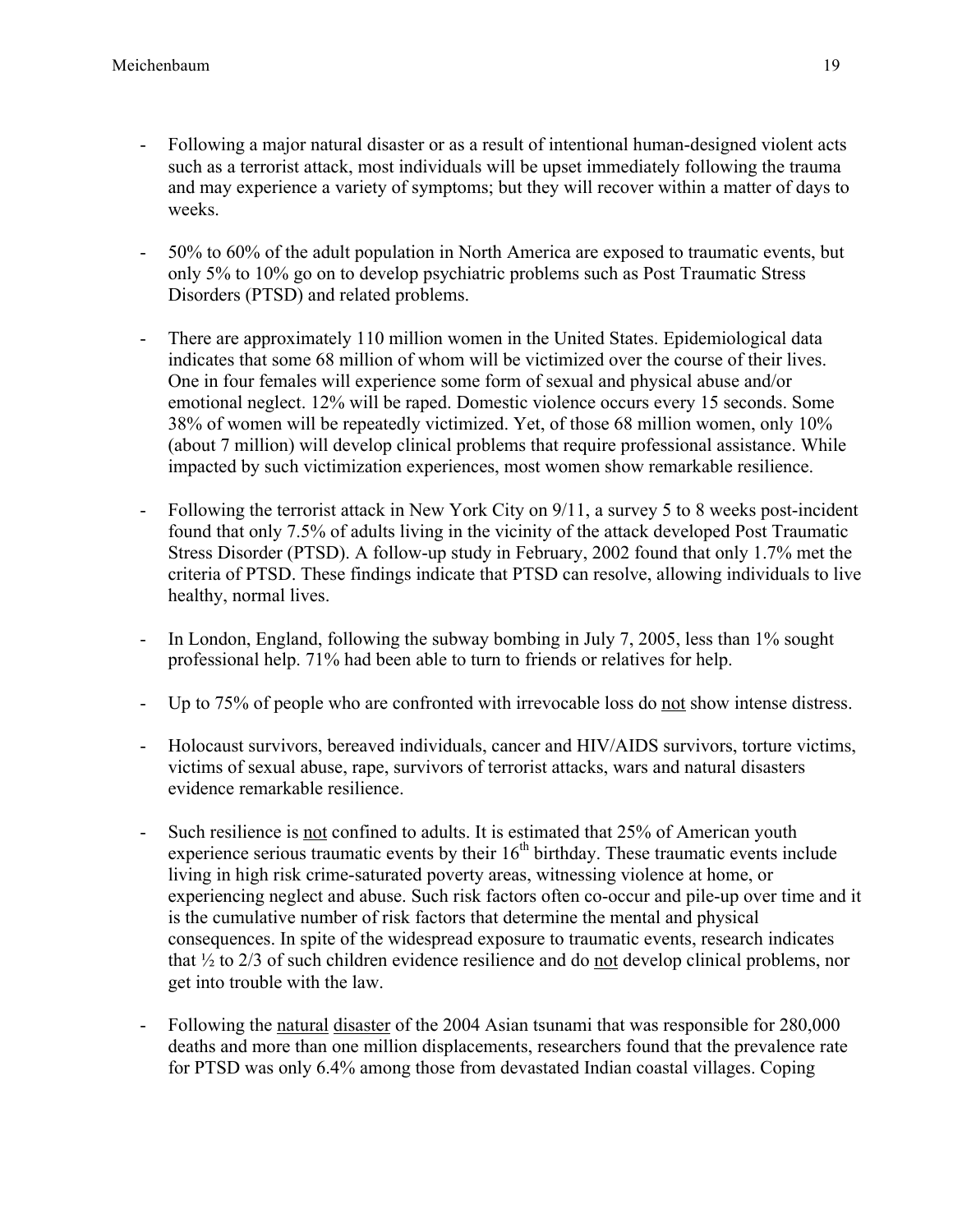- Following a major natural disaster or as a result of intentional human-designed violent acts such as a terrorist attack, most individuals will be upset immediately following the trauma and may experience a variety of symptoms; but they will recover within a matter of days to weeks.
- 50% to 60% of the adult population in North America are exposed to traumatic events, but only 5% to 10% go on to develop psychiatric problems such as Post Traumatic Stress Disorders (PTSD) and related problems.
- There are approximately 110 million women in the United States. Epidemiological data indicates that some 68 million of whom will be victimized over the course of their lives. One in four females will experience some form of sexual and physical abuse and/or emotional neglect. 12% will be raped. Domestic violence occurs every 15 seconds. Some 38% of women will be repeatedly victimized. Yet, of those 68 million women, only 10% (about 7 million) will develop clinical problems that require professional assistance. While impacted by such victimization experiences, most women show remarkable resilience.
- Following the terrorist attack in New York City on 9/11, a survey 5 to 8 weeks post-incident found that only 7.5% of adults living in the vicinity of the attack developed Post Traumatic Stress Disorder (PTSD). A follow-up study in February, 2002 found that only 1.7% met the criteria of PTSD. These findings indicate that PTSD can resolve, allowing individuals to live healthy, normal lives.
- In London, England, following the subway bombing in July 7, 2005, less than 1% sought professional help. 71% had been able to turn to friends or relatives for help.
- Up to 75% of people who are confronted with irrevocable loss do not show intense distress.
- Holocaust survivors, bereaved individuals, cancer and HIV/AIDS survivors, torture victims, victims of sexual abuse, rape, survivors of terrorist attacks, wars and natural disasters evidence remarkable resilience.
- Such resilience is not confined to adults. It is estimated that 25% of American youth experience serious traumatic events by their  $16<sup>th</sup>$  birthday. These traumatic events include living in high risk crime-saturated poverty areas, witnessing violence at home, or experiencing neglect and abuse. Such risk factors often co-occur and pile-up over time and it is the cumulative number of risk factors that determine the mental and physical consequences. In spite of the widespread exposure to traumatic events, research indicates that ½ to 2/3 of such children evidence resilience and do not develop clinical problems, nor get into trouble with the law.
- Following the natural disaster of the 2004 Asian tsunami that was responsible for 280,000 deaths and more than one million displacements, researchers found that the prevalence rate for PTSD was only 6.4% among those from devastated Indian coastal villages. Coping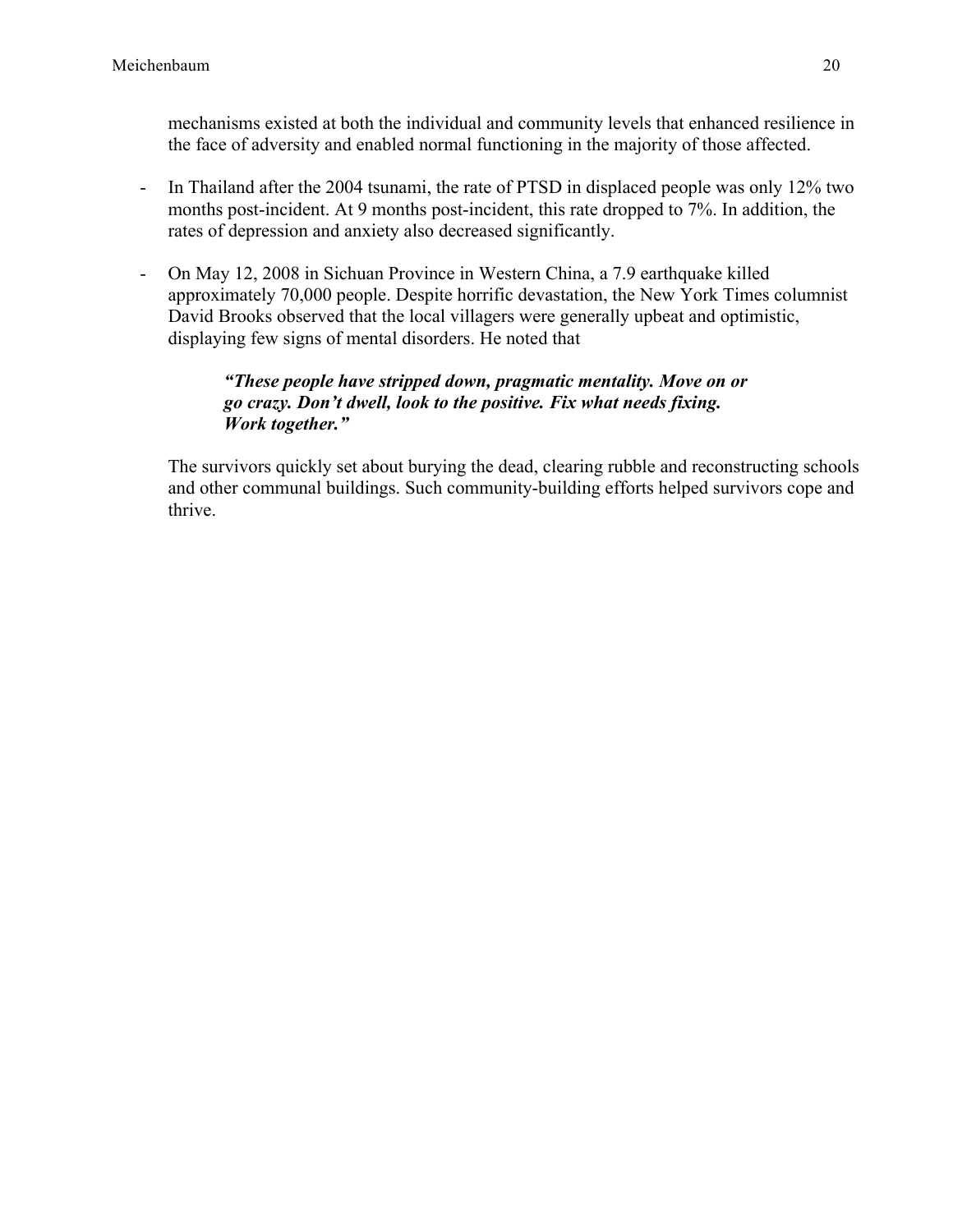mechanisms existed at both the individual and community levels that enhanced resilience in the face of adversity and enabled normal functioning in the majority of those affected.

- In Thailand after the 2004 tsunami, the rate of PTSD in displaced people was only 12% two months post-incident. At 9 months post-incident, this rate dropped to 7%. In addition, the rates of depression and anxiety also decreased significantly.
- On May 12, 2008 in Sichuan Province in Western China, a 7.9 earthquake killed approximately 70,000 people. Despite horrific devastation, the New York Times columnist David Brooks observed that the local villagers were generally upbeat and optimistic, displaying few signs of mental disorders. He noted that

#### *"These people have stripped down, pragmatic mentality. Move on or go crazy. Don't dwell, look to the positive. Fix what needs fixing. Work together."*

The survivors quickly set about burying the dead, clearing rubble and reconstructing schools and other communal buildings. Such community-building efforts helped survivors cope and thrive.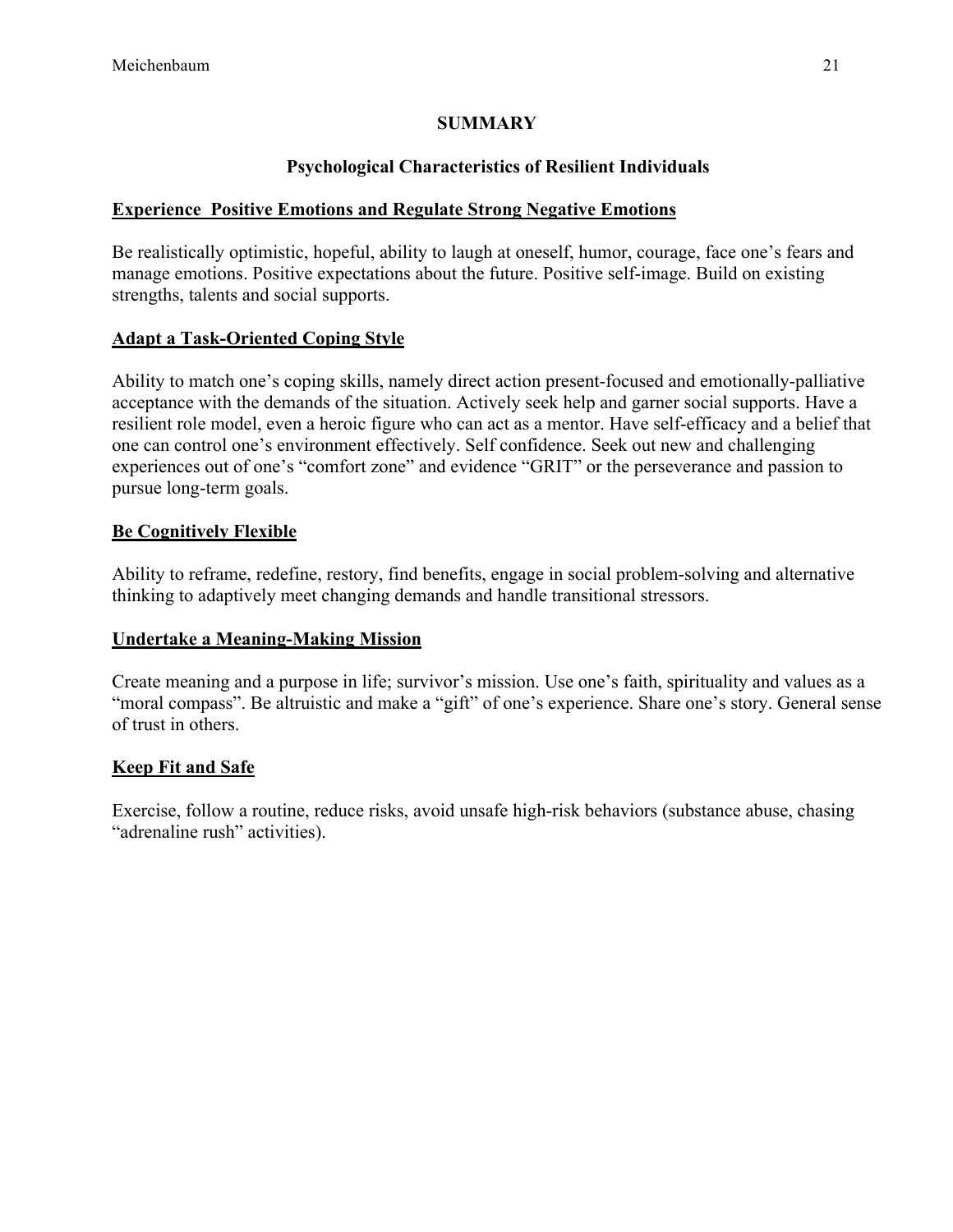## **SUMMARY**

# **Psychological Characteristics of Resilient Individuals**

## **Experience Positive Emotions and Regulate Strong Negative Emotions**

Be realistically optimistic, hopeful, ability to laugh at oneself, humor, courage, face one's fears and manage emotions. Positive expectations about the future. Positive self-image. Build on existing strengths, talents and social supports.

# **Adapt a Task-Oriented Coping Style**

Ability to match one's coping skills, namely direct action present-focused and emotionally-palliative acceptance with the demands of the situation. Actively seek help and garner social supports. Have a resilient role model, even a heroic figure who can act as a mentor. Have self-efficacy and a belief that one can control one's environment effectively. Self confidence. Seek out new and challenging experiences out of one's "comfort zone" and evidence "GRIT" or the perseverance and passion to pursue long-term goals.

# **Be Cognitively Flexible**

Ability to reframe, redefine, restory, find benefits, engage in social problem-solving and alternative thinking to adaptively meet changing demands and handle transitional stressors.

## **Undertake a Meaning-Making Mission**

Create meaning and a purpose in life; survivor's mission. Use one's faith, spirituality and values as a "moral compass". Be altruistic and make a "gift" of one's experience. Share one's story. General sense of trust in others.

# **Keep Fit and Safe**

Exercise, follow a routine, reduce risks, avoid unsafe high-risk behaviors (substance abuse, chasing "adrenaline rush" activities).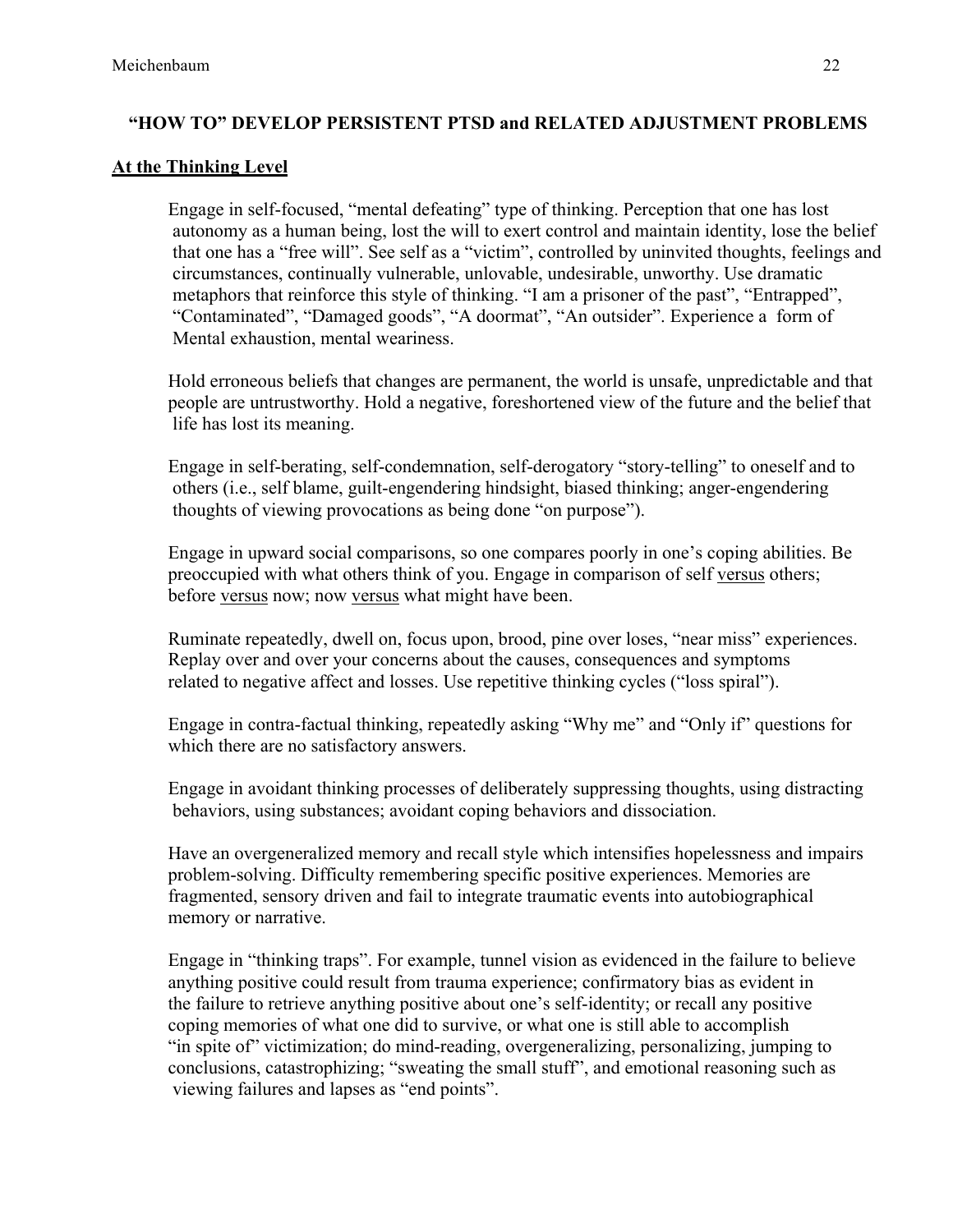# **"HOW TO" DEVELOP PERSISTENT PTSD and RELATED ADJUSTMENT PROBLEMS**

## **At the Thinking Level**

Engage in self-focused, "mental defeating" type of thinking. Perception that one has lost autonomy as a human being, lost the will to exert control and maintain identity, lose the belief that one has a "free will". See self as a "victim", controlled by uninvited thoughts, feelings and circumstances, continually vulnerable, unlovable, undesirable, unworthy. Use dramatic metaphors that reinforce this style of thinking. "I am a prisoner of the past", "Entrapped", "Contaminated", "Damaged goods", "A doormat", "An outsider". Experience a form of Mental exhaustion, mental weariness.

Hold erroneous beliefs that changes are permanent, the world is unsafe, unpredictable and that people are untrustworthy. Hold a negative, foreshortened view of the future and the belief that life has lost its meaning.

Engage in self-berating, self-condemnation, self-derogatory "story-telling" to oneself and to others (i.e., self blame, guilt-engendering hindsight, biased thinking; anger-engendering thoughts of viewing provocations as being done "on purpose").

Engage in upward social comparisons, so one compares poorly in one's coping abilities. Be preoccupied with what others think of you. Engage in comparison of self versus others; before versus now; now versus what might have been.

Ruminate repeatedly, dwell on, focus upon, brood, pine over loses, "near miss" experiences. Replay over and over your concerns about the causes, consequences and symptoms related to negative affect and losses. Use repetitive thinking cycles ("loss spiral").

Engage in contra-factual thinking, repeatedly asking "Why me" and "Only if" questions for which there are no satisfactory answers.

Engage in avoidant thinking processes of deliberately suppressing thoughts, using distracting behaviors, using substances; avoidant coping behaviors and dissociation.

Have an overgeneralized memory and recall style which intensifies hopelessness and impairs problem-solving. Difficulty remembering specific positive experiences. Memories are fragmented, sensory driven and fail to integrate traumatic events into autobiographical memory or narrative.

Engage in "thinking traps". For example, tunnel vision as evidenced in the failure to believe anything positive could result from trauma experience; confirmatory bias as evident in the failure to retrieve anything positive about one's self-identity; or recall any positive coping memories of what one did to survive, or what one is still able to accomplish "in spite of" victimization; do mind-reading, overgeneralizing, personalizing, jumping to conclusions, catastrophizing; "sweating the small stuff", and emotional reasoning such as viewing failures and lapses as "end points".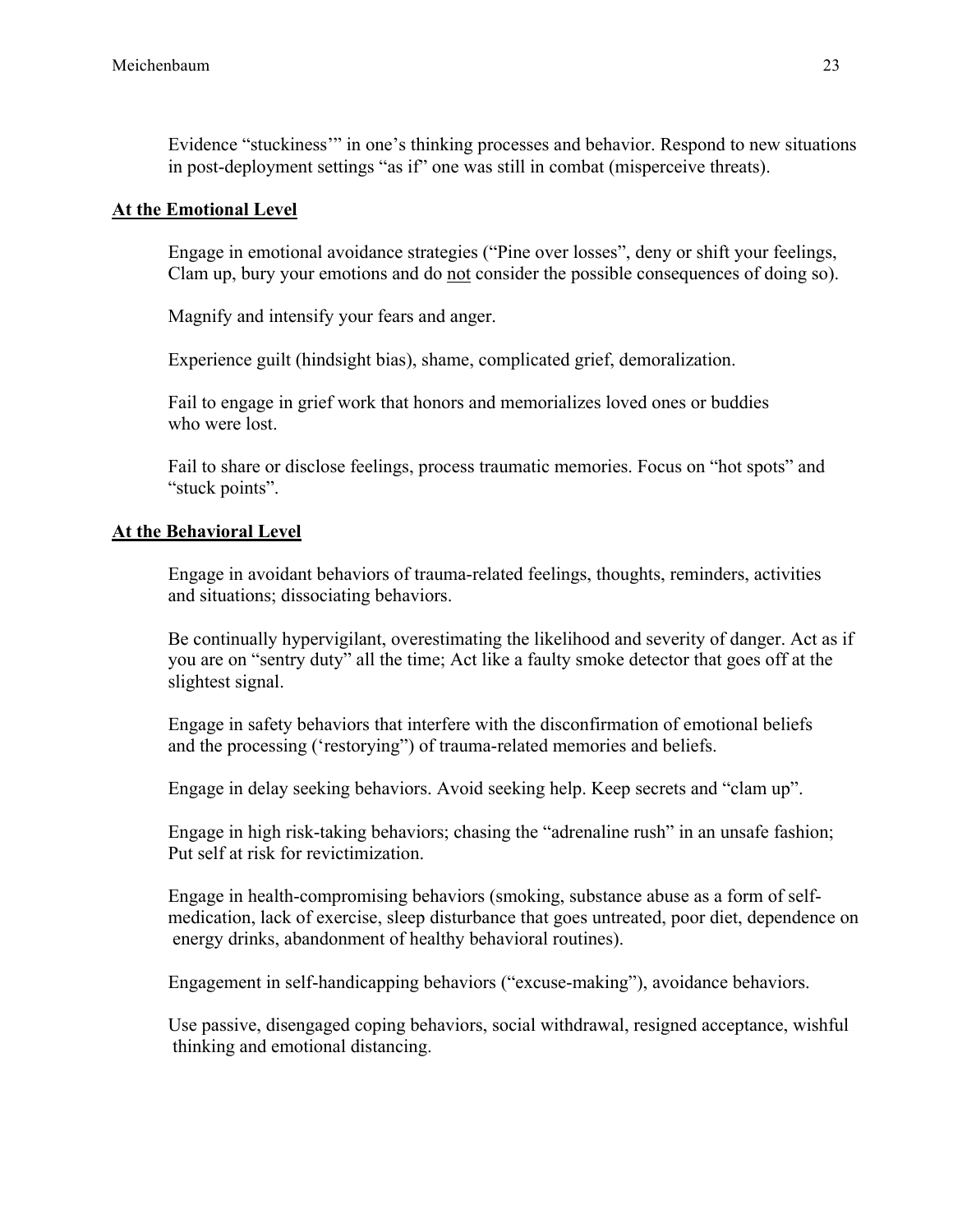Evidence "stuckiness'" in one's thinking processes and behavior. Respond to new situations in post-deployment settings "as if" one was still in combat (misperceive threats).

#### **At the Emotional Level**

Engage in emotional avoidance strategies ("Pine over losses", deny or shift your feelings, Clam up, bury your emotions and do not consider the possible consequences of doing so).

Magnify and intensify your fears and anger.

Experience guilt (hindsight bias), shame, complicated grief, demoralization.

Fail to engage in grief work that honors and memorializes loved ones or buddies who were lost.

Fail to share or disclose feelings, process traumatic memories. Focus on "hot spots" and "stuck points".

#### **At the Behavioral Level**

Engage in avoidant behaviors of trauma-related feelings, thoughts, reminders, activities and situations; dissociating behaviors.

Be continually hypervigilant, overestimating the likelihood and severity of danger. Act as if you are on "sentry duty" all the time; Act like a faulty smoke detector that goes off at the slightest signal.

Engage in safety behaviors that interfere with the disconfirmation of emotional beliefs and the processing ('restorying") of trauma-related memories and beliefs.

Engage in delay seeking behaviors. Avoid seeking help. Keep secrets and "clam up".

Engage in high risk-taking behaviors; chasing the "adrenaline rush" in an unsafe fashion; Put self at risk for revictimization.

Engage in health-compromising behaviors (smoking, substance abuse as a form of selfmedication, lack of exercise, sleep disturbance that goes untreated, poor diet, dependence on energy drinks, abandonment of healthy behavioral routines).

Engagement in self-handicapping behaviors ("excuse-making"), avoidance behaviors.

Use passive, disengaged coping behaviors, social withdrawal, resigned acceptance, wishful thinking and emotional distancing.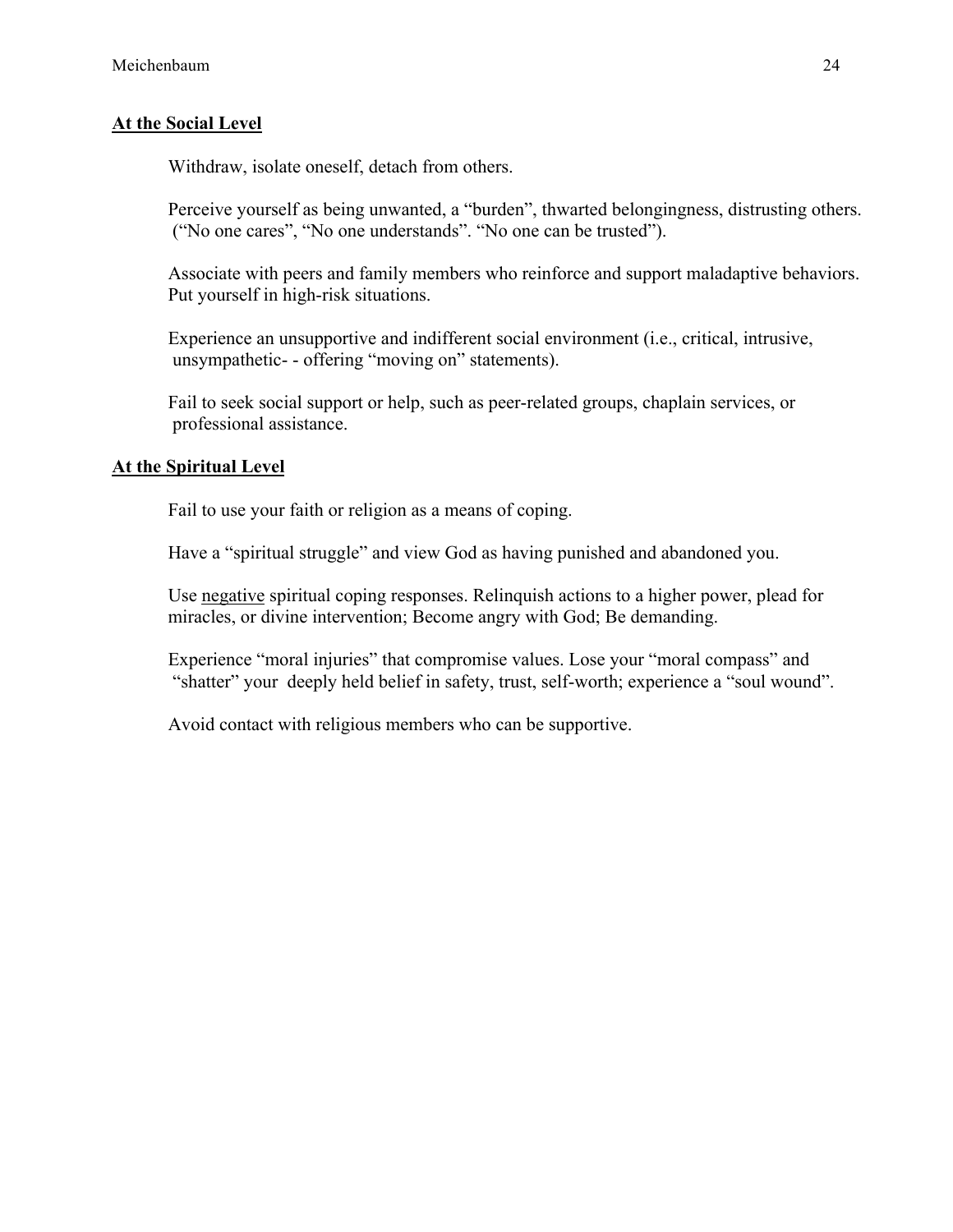## **At the Social Level**

Withdraw, isolate oneself, detach from others.

Perceive yourself as being unwanted, a "burden", thwarted belongingness, distrusting others. ("No one cares", "No one understands". "No one can be trusted").

Associate with peers and family members who reinforce and support maladaptive behaviors. Put yourself in high-risk situations.

Experience an unsupportive and indifferent social environment (i.e., critical, intrusive, unsympathetic- - offering "moving on" statements).

Fail to seek social support or help, such as peer-related groups, chaplain services, or professional assistance.

#### **At the Spiritual Level**

Fail to use your faith or religion as a means of coping.

Have a "spiritual struggle" and view God as having punished and abandoned you.

Use negative spiritual coping responses. Relinquish actions to a higher power, plead for miracles, or divine intervention; Become angry with God; Be demanding.

Experience "moral injuries" that compromise values. Lose your "moral compass" and "shatter" your deeply held belief in safety, trust, self-worth; experience a "soul wound".

Avoid contact with religious members who can be supportive.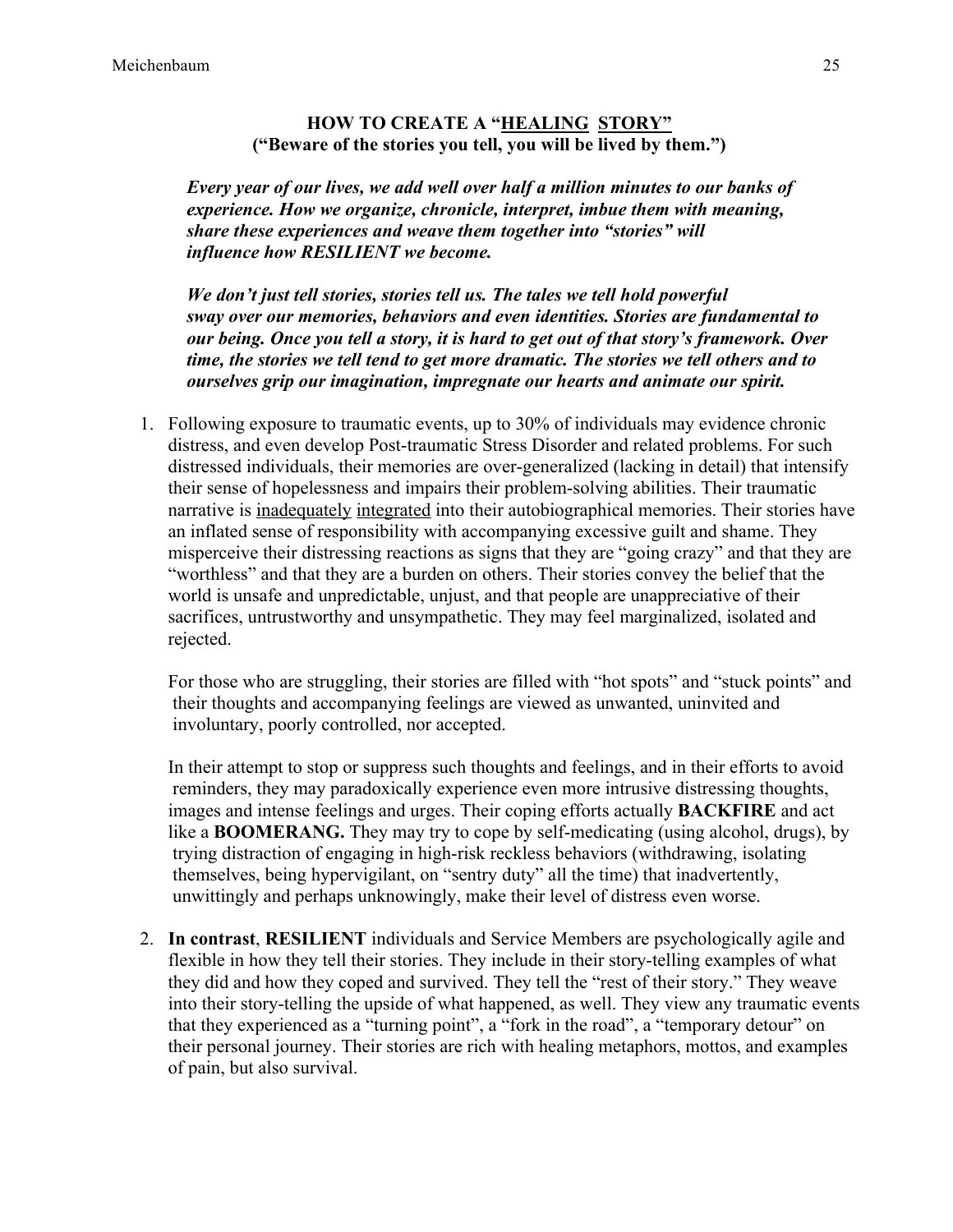#### **HOW TO CREATE A "HEALING STORY" ("Beware of the stories you tell, you will be lived by them.")**

 *Every year of our lives, we add well over half a million minutes to our banks of experience. How we organize, chronicle, interpret, imbue them with meaning, share these experiences and weave them together into "stories" will influence how RESILIENT we become.* 

 *We don't just tell stories, stories tell us. The tales we tell hold powerful sway over our memories, behaviors and even identities. Stories are fundamental to our being. Once you tell a story, it is hard to get out of that story's framework. Over time, the stories we tell tend to get more dramatic. The stories we tell others and to ourselves grip our imagination, impregnate our hearts and animate our spirit.*

1. Following exposure to traumatic events, up to 30% of individuals may evidence chronic distress, and even develop Post-traumatic Stress Disorder and related problems. For such distressed individuals, their memories are over-generalized (lacking in detail) that intensify their sense of hopelessness and impairs their problem-solving abilities. Their traumatic narrative is inadequately integrated into their autobiographical memories. Their stories have an inflated sense of responsibility with accompanying excessive guilt and shame. They misperceive their distressing reactions as signs that they are "going crazy" and that they are "worthless" and that they are a burden on others. Their stories convey the belief that the world is unsafe and unpredictable, unjust, and that people are unappreciative of their sacrifices, untrustworthy and unsympathetic. They may feel marginalized, isolated and rejected.

For those who are struggling, their stories are filled with "hot spots" and "stuck points" and their thoughts and accompanying feelings are viewed as unwanted, uninvited and involuntary, poorly controlled, nor accepted.

In their attempt to stop or suppress such thoughts and feelings, and in their efforts to avoid reminders, they may paradoxically experience even more intrusive distressing thoughts, images and intense feelings and urges. Their coping efforts actually **BACKFIRE** and act like a **BOOMERANG.** They may try to cope by self-medicating (using alcohol, drugs), by trying distraction of engaging in high-risk reckless behaviors (withdrawing, isolating themselves, being hypervigilant, on "sentry duty" all the time) that inadvertently, unwittingly and perhaps unknowingly, make their level of distress even worse.

2. **In contrast**, **RESILIENT** individuals and Service Members are psychologically agile and flexible in how they tell their stories. They include in their story-telling examples of what they did and how they coped and survived. They tell the "rest of their story." They weave into their story-telling the upside of what happened, as well. They view any traumatic events that they experienced as a "turning point", a "fork in the road", a "temporary detour" on their personal journey. Their stories are rich with healing metaphors, mottos, and examples of pain, but also survival.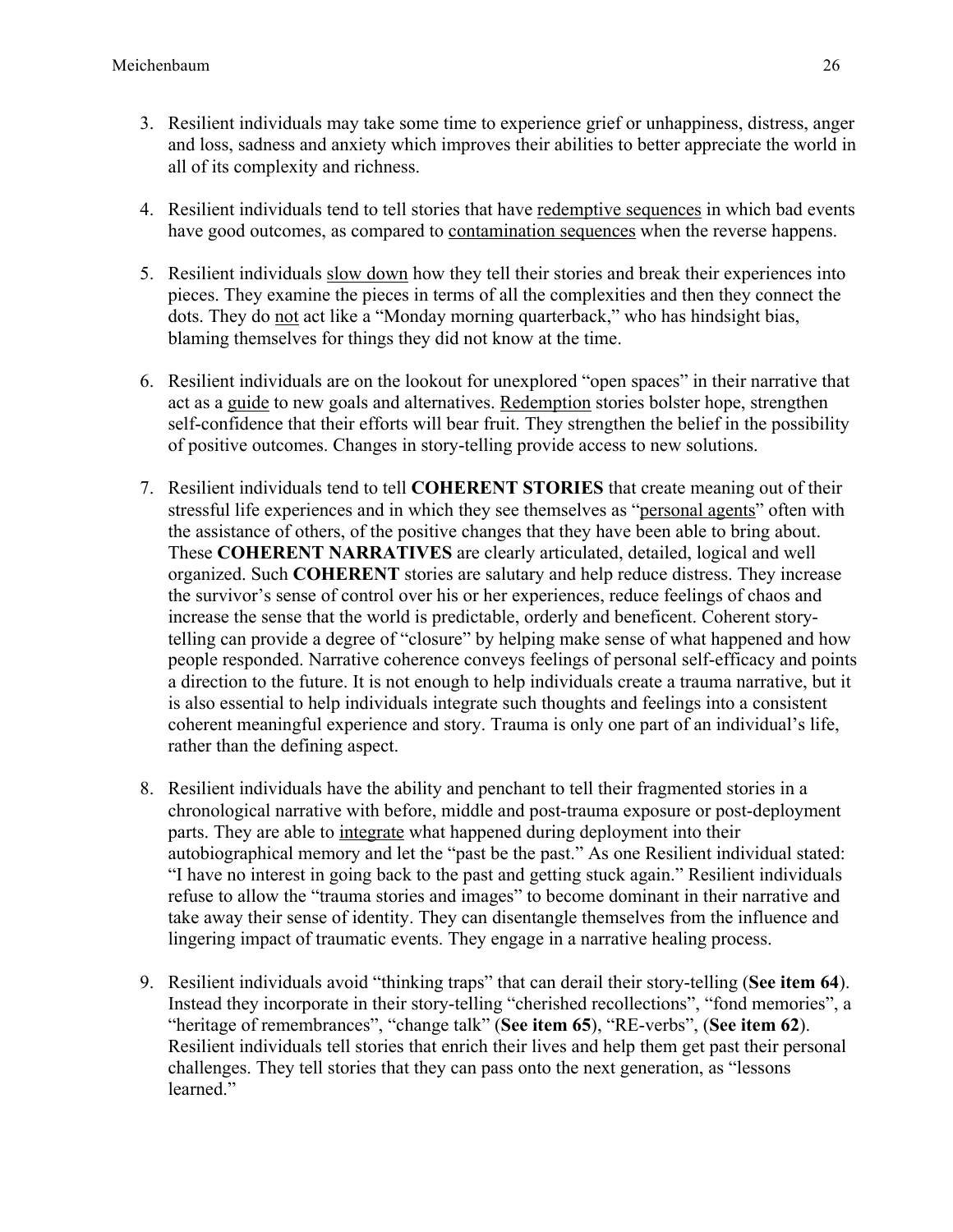- 3. Resilient individuals may take some time to experience grief or unhappiness, distress, anger and loss, sadness and anxiety which improves their abilities to better appreciate the world in all of its complexity and richness.
- 4. Resilient individuals tend to tell stories that have redemptive sequences in which bad events have good outcomes, as compared to contamination sequences when the reverse happens.
- 5. Resilient individuals slow down how they tell their stories and break their experiences into pieces. They examine the pieces in terms of all the complexities and then they connect the dots. They do not act like a "Monday morning quarterback," who has hindsight bias, blaming themselves for things they did not know at the time.
- 6. Resilient individuals are on the lookout for unexplored "open spaces" in their narrative that act as a guide to new goals and alternatives. Redemption stories bolster hope, strengthen self-confidence that their efforts will bear fruit. They strengthen the belief in the possibility of positive outcomes. Changes in story-telling provide access to new solutions.
- 7. Resilient individuals tend to tell **COHERENT STORIES** that create meaning out of their stressful life experiences and in which they see themselves as "personal agents" often with the assistance of others, of the positive changes that they have been able to bring about. These **COHERENT NARRATIVES** are clearly articulated, detailed, logical and well organized. Such **COHERENT** stories are salutary and help reduce distress. They increase the survivor's sense of control over his or her experiences, reduce feelings of chaos and increase the sense that the world is predictable, orderly and beneficent. Coherent storytelling can provide a degree of "closure" by helping make sense of what happened and how people responded. Narrative coherence conveys feelings of personal self-efficacy and points a direction to the future. It is not enough to help individuals create a trauma narrative, but it is also essential to help individuals integrate such thoughts and feelings into a consistent coherent meaningful experience and story. Trauma is only one part of an individual's life, rather than the defining aspect.
- 8. Resilient individuals have the ability and penchant to tell their fragmented stories in a chronological narrative with before, middle and post-trauma exposure or post-deployment parts. They are able to integrate what happened during deployment into their autobiographical memory and let the "past be the past." As one Resilient individual stated: "I have no interest in going back to the past and getting stuck again." Resilient individuals refuse to allow the "trauma stories and images" to become dominant in their narrative and take away their sense of identity. They can disentangle themselves from the influence and lingering impact of traumatic events. They engage in a narrative healing process.
- 9. Resilient individuals avoid "thinking traps" that can derail their story-telling (**See item 64**). Instead they incorporate in their story-telling "cherished recollections", "fond memories", a "heritage of remembrances", "change talk" (**See item 65**), "RE-verbs", (**See item 62**). Resilient individuals tell stories that enrich their lives and help them get past their personal challenges. They tell stories that they can pass onto the next generation, as "lessons learned<sup>"</sup>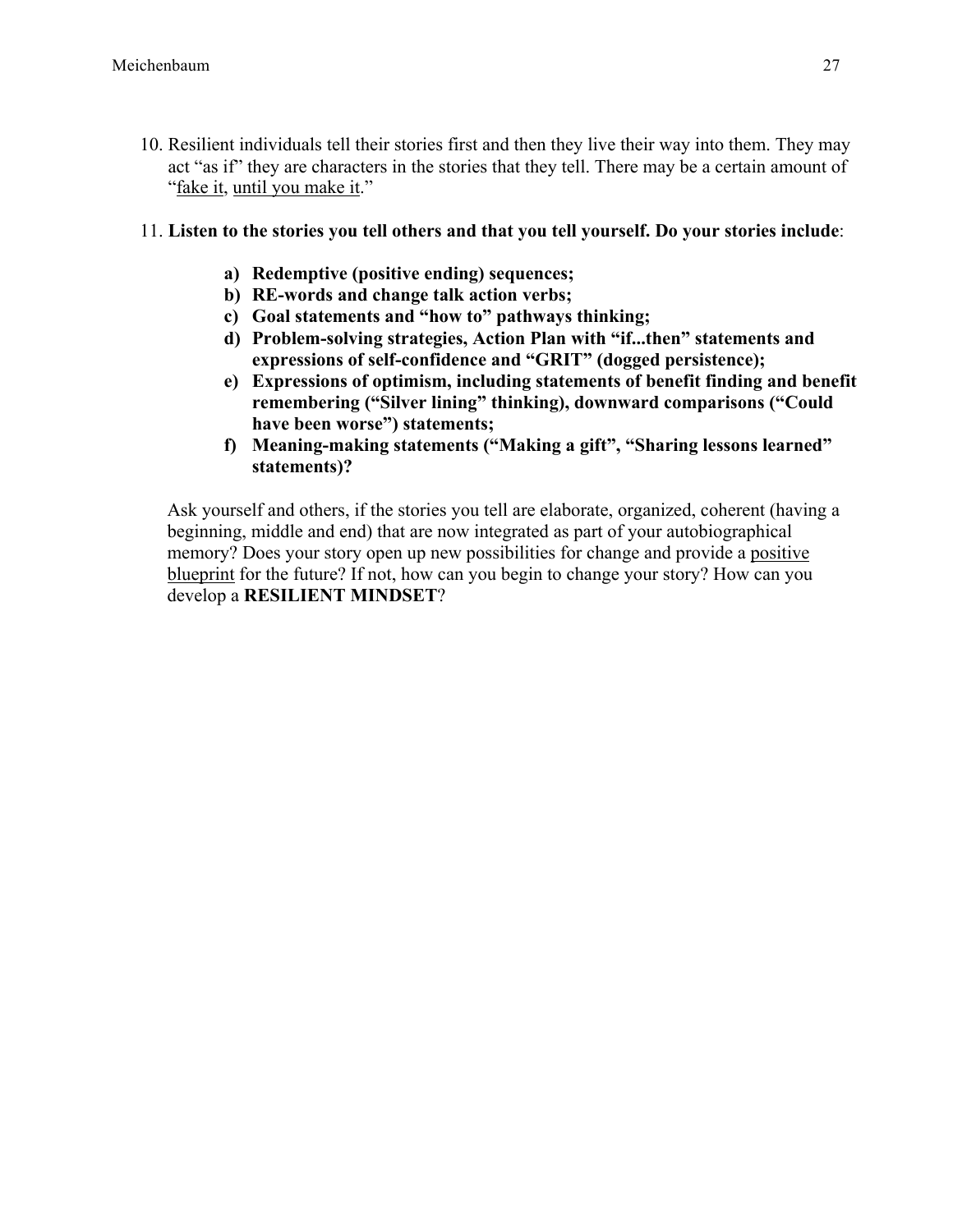- 10. Resilient individuals tell their stories first and then they live their way into them. They may act "as if" they are characters in the stories that they tell. There may be a certain amount of "fake it, until you make it."
- 11. **Listen to the stories you tell others and that you tell yourself. Do your stories include**:
	- **a) Redemptive (positive ending) sequences;**
	- **b) RE-words and change talk action verbs;**
	- **c) Goal statements and "how to" pathways thinking;**
	- **d) Problem-solving strategies, Action Plan with "if...then" statements and expressions of self-confidence and "GRIT" (dogged persistence);**
	- **e) Expressions of optimism, including statements of benefit finding and benefit remembering ("Silver lining" thinking), downward comparisons ("Could have been worse") statements;**
	- **f) Meaning-making statements ("Making a gift", "Sharing lessons learned" statements)?**

Ask yourself and others, if the stories you tell are elaborate, organized, coherent (having a beginning, middle and end) that are now integrated as part of your autobiographical memory? Does your story open up new possibilities for change and provide a positive blueprint for the future? If not, how can you begin to change your story? How can you develop a **RESILIENT MINDSET**?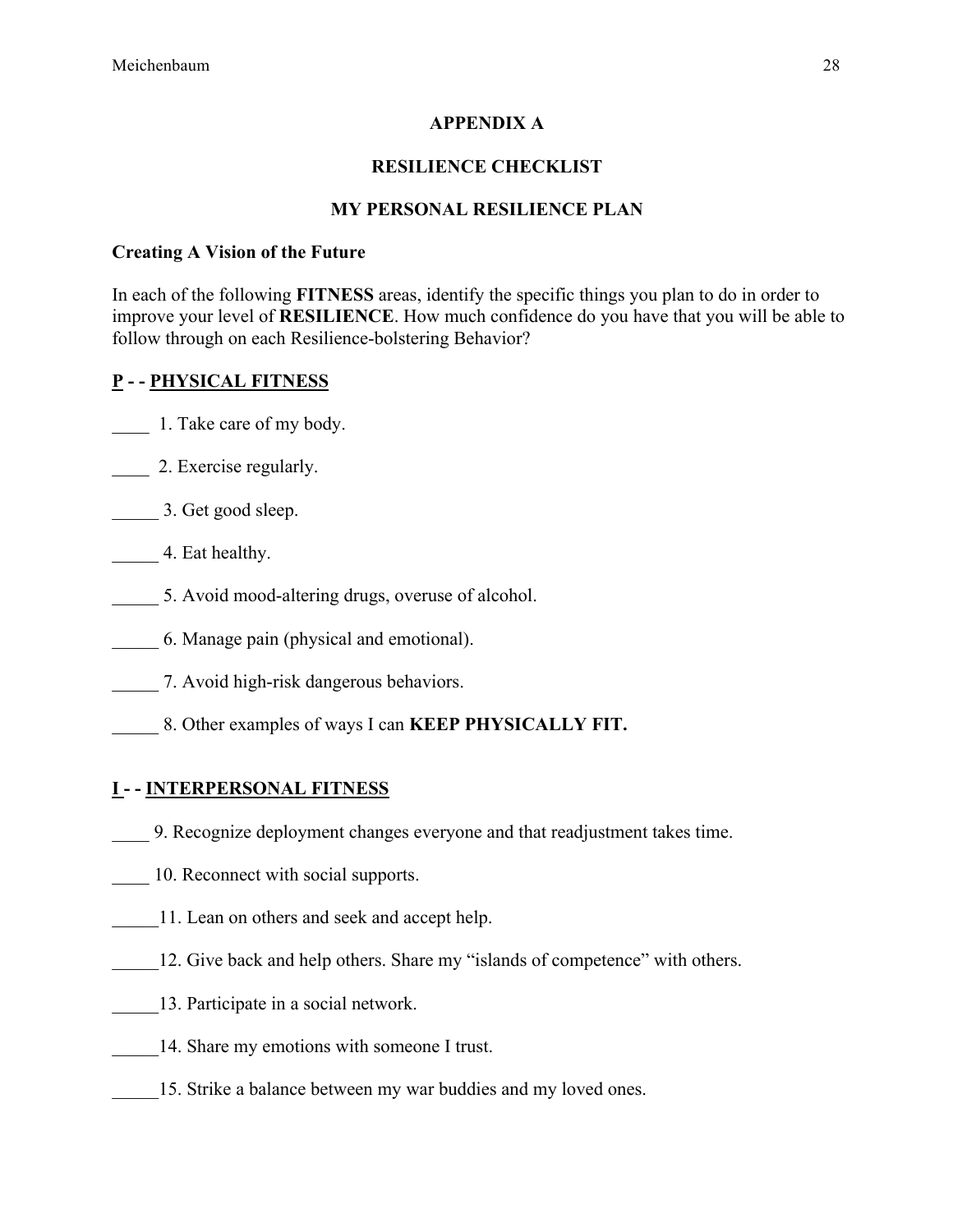# **APPENDIX A**

# **RESILIENCE CHECKLIST**

# **MY PERSONAL RESILIENCE PLAN**

## **Creating A Vision of the Future**

In each of the following **FITNESS** areas, identify the specific things you plan to do in order to improve your level of **RESILIENCE**. How much confidence do you have that you will be able to follow through on each Resilience-bolstering Behavior?

# **P - - PHYSICAL FITNESS**

- \_\_\_\_ 1. Take care of my body.
- 2. Exercise regularly.
- \_\_\_\_\_ 3. Get good sleep.
- **Eat healthy.**
- \_\_\_\_\_ 5. Avoid mood-altering drugs, overuse of alcohol.
- \_\_\_\_\_ 6. Manage pain (physical and emotional).
- \_\_\_\_\_ 7. Avoid high-risk dangerous behaviors.
- \_\_\_\_\_ 8. Other examples of ways I can **KEEP PHYSICALLY FIT.**

# **I - - INTERPERSONAL FITNESS**

- \_\_\_\_ 9. Recognize deployment changes everyone and that readjustment takes time.
- 10. Reconnect with social supports.
- 11. Lean on others and seek and accept help.
- 12. Give back and help others. Share my "islands of competence" with others.
- \_\_\_\_\_13. Participate in a social network.
- 14. Share my emotions with someone I trust.
- 15. Strike a balance between my war buddies and my loved ones.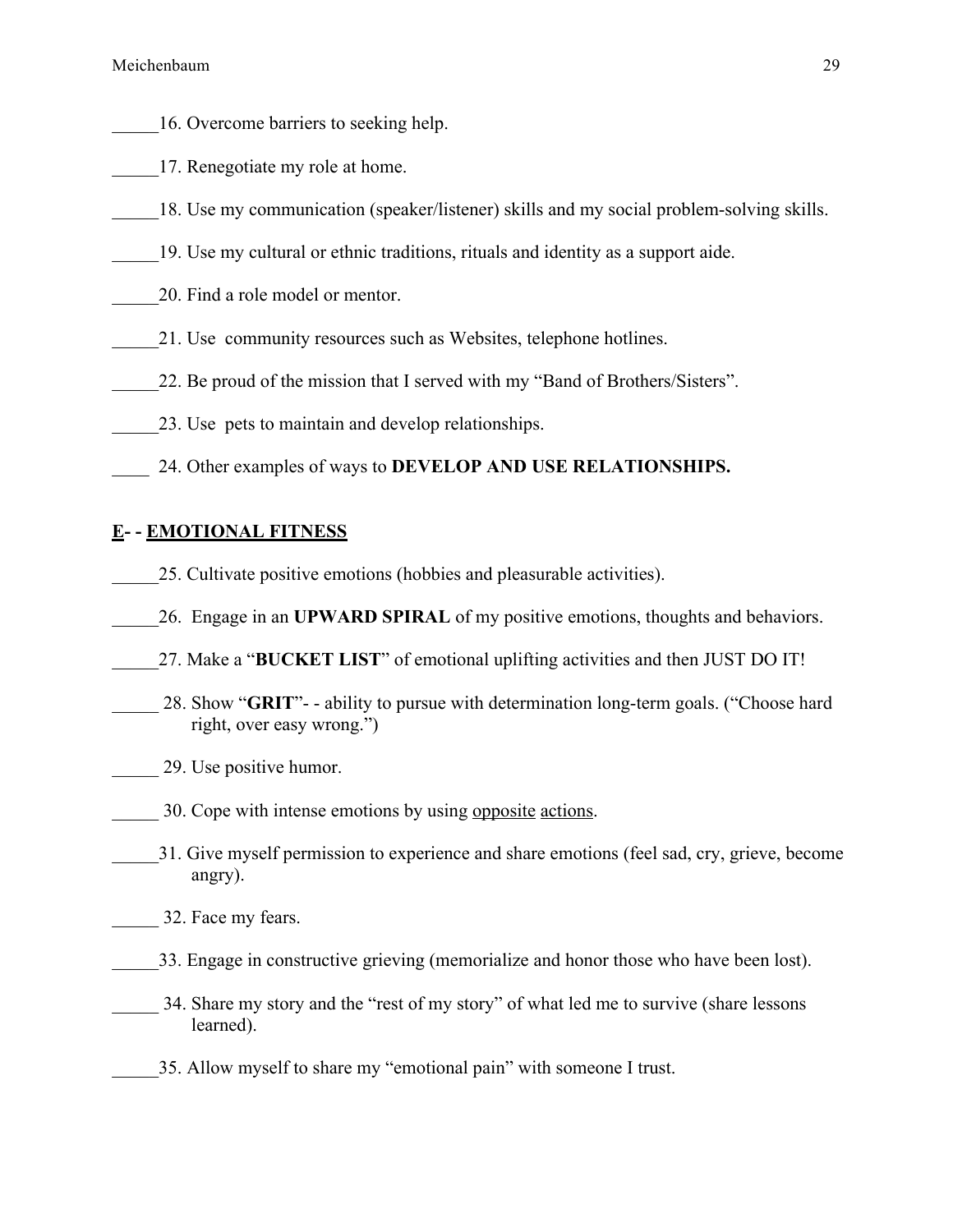- \_\_\_\_\_16. Overcome barriers to seeking help.
- 17. Renegotiate my role at home.
- 18. Use my communication (speaker/listener) skills and my social problem-solving skills.
- \_\_\_\_\_19. Use my cultural or ethnic traditions, rituals and identity as a support aide.
- \_\_\_\_\_20. Find a role model or mentor.
- 21. Use community resources such as Websites, telephone hotlines.
- 22. Be proud of the mission that I served with my "Band of Brothers/Sisters".
- 23. Use pets to maintain and develop relationships.
- \_\_\_\_ 24. Other examples of ways to **DEVELOP AND USE RELATIONSHIPS.**

#### **E- - EMOTIONAL FITNESS**

- \_\_\_\_\_25. Cultivate positive emotions (hobbies and pleasurable activities).
- \_\_\_\_\_26. Engage in an **UPWARD SPIRAL** of my positive emotions, thoughts and behaviors.
- \_\_\_\_\_27. Make a "**BUCKET LIST**" of emotional uplifting activities and then JUST DO IT!
- 28. Show "**GRIT**"- ability to pursue with determination long-term goals. ("Choose hard right, over easy wrong.")
- \_\_\_\_\_ 29. Use positive humor.
- 30. Cope with intense emotions by using opposite actions.
- \_\_\_\_\_31. Give myself permission to experience and share emotions (feel sad, cry, grieve, become angry).
- \_\_\_\_\_ 32. Face my fears.
- \_\_\_\_\_33. Engage in constructive grieving (memorialize and honor those who have been lost).
- 34. Share my story and the "rest of my story" of what led me to survive (share lessons learned).
- \_\_\_\_\_35. Allow myself to share my "emotional pain" with someone I trust.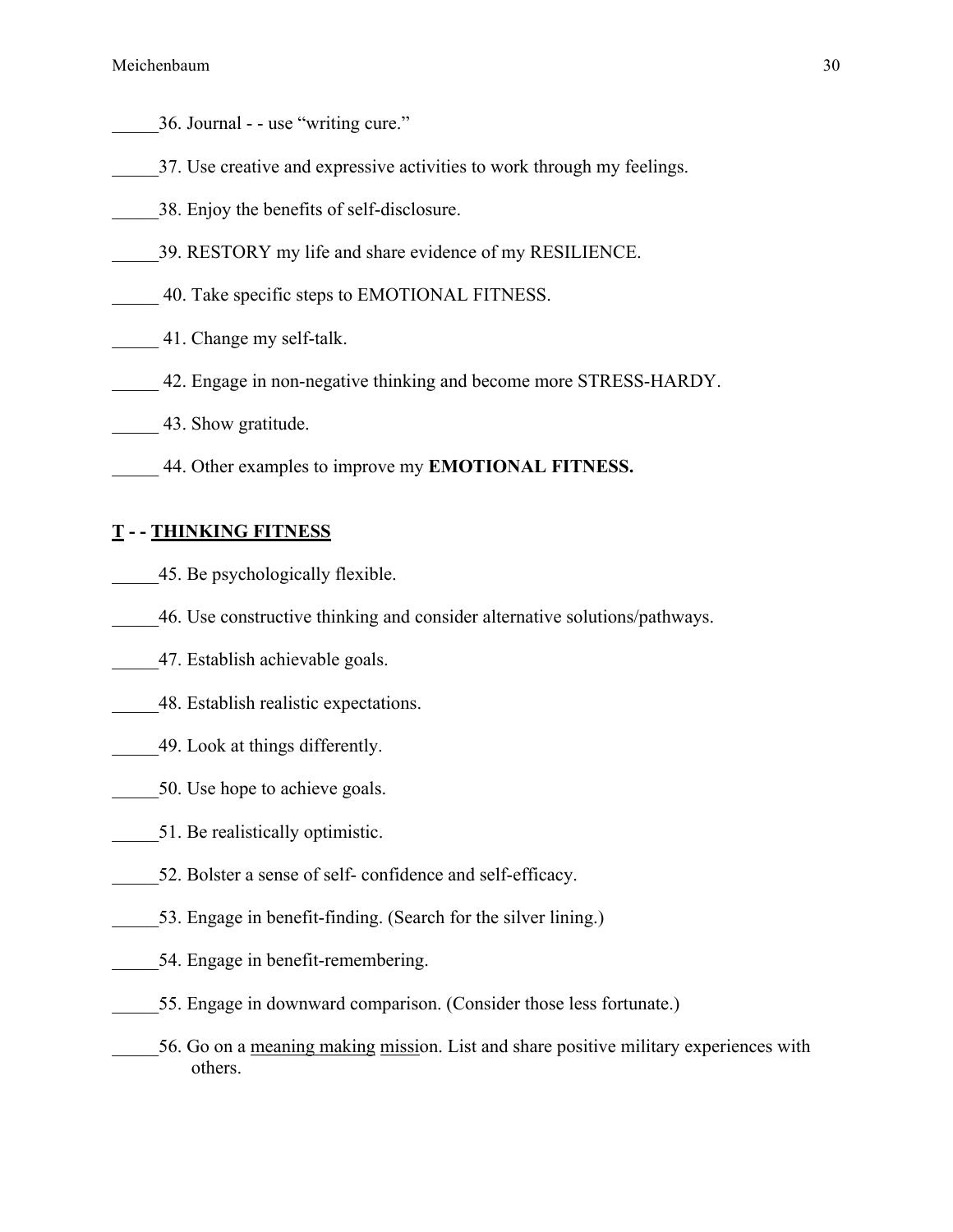- \_\_\_\_\_36. Journal - use "writing cure."
- \_\_\_\_\_37. Use creative and expressive activities to work through my feelings.
- \_\_\_\_\_38. Enjoy the benefits of self-disclosure.
- \_\_\_\_\_39. RESTORY my life and share evidence of my RESILIENCE.
- \_\_\_\_\_ 40. Take specific steps to EMOTIONAL FITNESS.
- \_\_\_\_\_ 41. Change my self-talk.
- \_\_\_\_\_ 42. Engage in non-negative thinking and become more STRESS-HARDY.
- \_\_\_\_\_ 43. Show gratitude.
- \_\_\_\_\_ 44. Other examples to improve my **EMOTIONAL FITNESS.**

#### **T - - THINKING FITNESS**

- \_\_\_\_\_45. Be psychologically flexible.
- \_\_\_\_\_46. Use constructive thinking and consider alternative solutions/pathways.
- \_\_\_\_\_47. Establish achievable goals.
- \_\_\_\_\_48. Establish realistic expectations.
- \_\_\_\_\_49. Look at things differently.
- 50. Use hope to achieve goals.
- \_\_\_\_\_51. Be realistically optimistic.
- 52. Bolster a sense of self- confidence and self-efficacy.
- 53. Engage in benefit-finding. (Search for the silver lining.)
- 54. Engage in benefit-remembering.
- \_\_\_\_\_55. Engage in downward comparison. (Consider those less fortunate.)
- \_\_\_\_\_56. Go on a meaning making mission. List and share positive military experiences with others.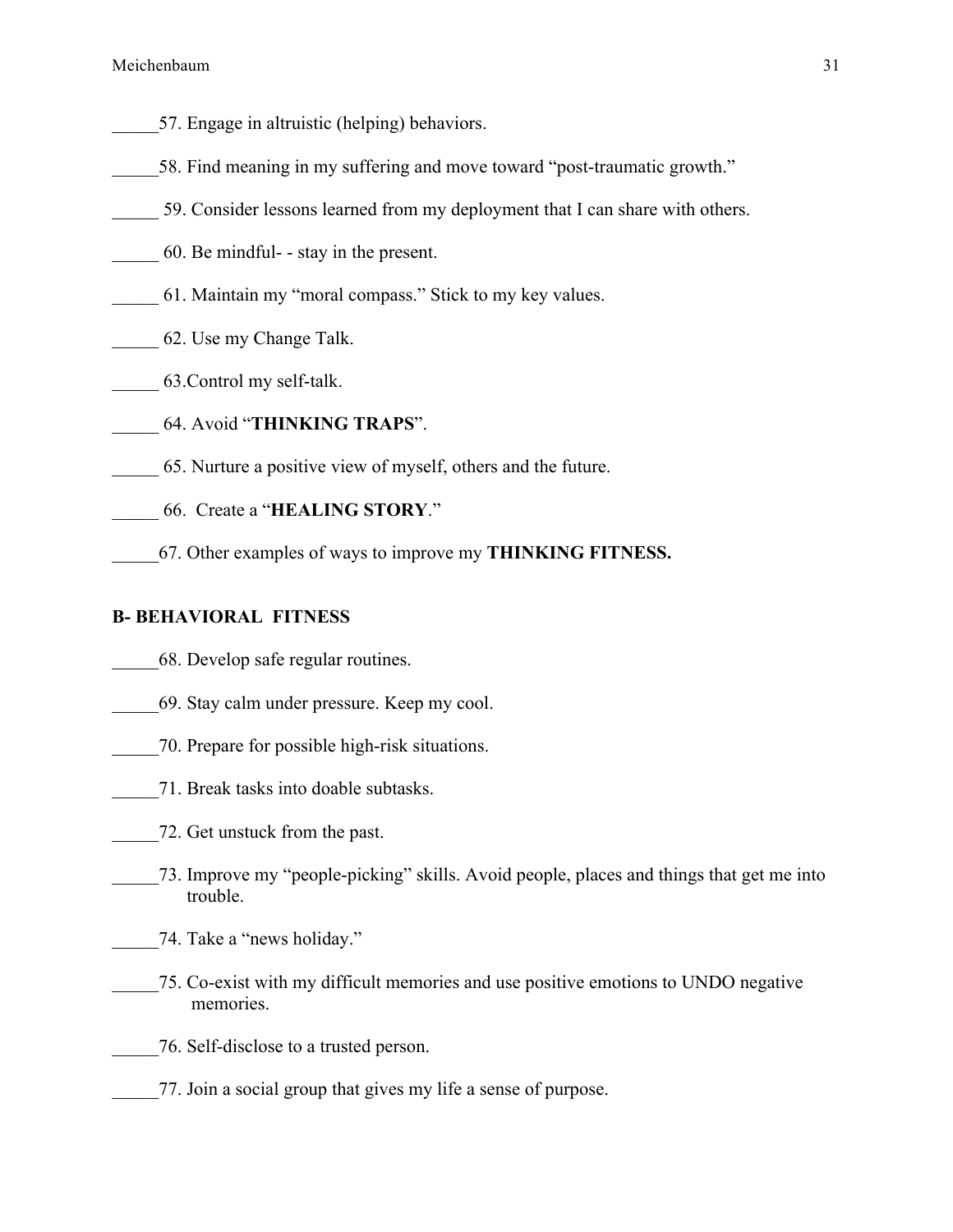- 57. Engage in altruistic (helping) behaviors.
- 58. Find meaning in my suffering and move toward "post-traumatic growth."
- \_\_\_\_\_ 59. Consider lessons learned from my deployment that I can share with others.
- \_\_\_\_\_ 60. Be mindful- stay in the present.
- \_\_\_\_\_ 61. Maintain my "moral compass." Stick to my key values.
- \_\_\_\_\_ 62. Use my Change Talk.
- \_\_\_\_\_ 63.Control my self-talk.
- \_\_\_\_\_ 64. Avoid "**THINKING TRAPS**".
- \_\_\_\_\_ 65. Nurture a positive view of myself, others and the future.
- \_\_\_\_\_ 66. Create a "**HEALING STORY**."
- \_\_\_\_\_67. Other examples of ways to improve my **THINKING FITNESS.**

#### **B- BEHAVIORAL FITNESS**

- \_\_\_\_\_68. Develop safe regular routines.
- \_\_\_\_\_69. Stay calm under pressure. Keep my cool.
- \_\_\_\_\_70. Prepare for possible high-risk situations.
- \_\_\_\_\_71. Break tasks into doable subtasks.
- \_\_\_\_\_72. Get unstuck from the past.
- \_\_\_\_\_73. Improve my "people-picking" skills. Avoid people, places and things that get me into trouble.
- \_\_\_\_\_74. Take a "news holiday."
- \_\_\_\_\_75. Co-exist with my difficult memories and use positive emotions to UNDO negative memories.
- \_\_\_\_\_76. Self-disclose to a trusted person.
- \_\_\_\_\_77. Join a social group that gives my life a sense of purpose.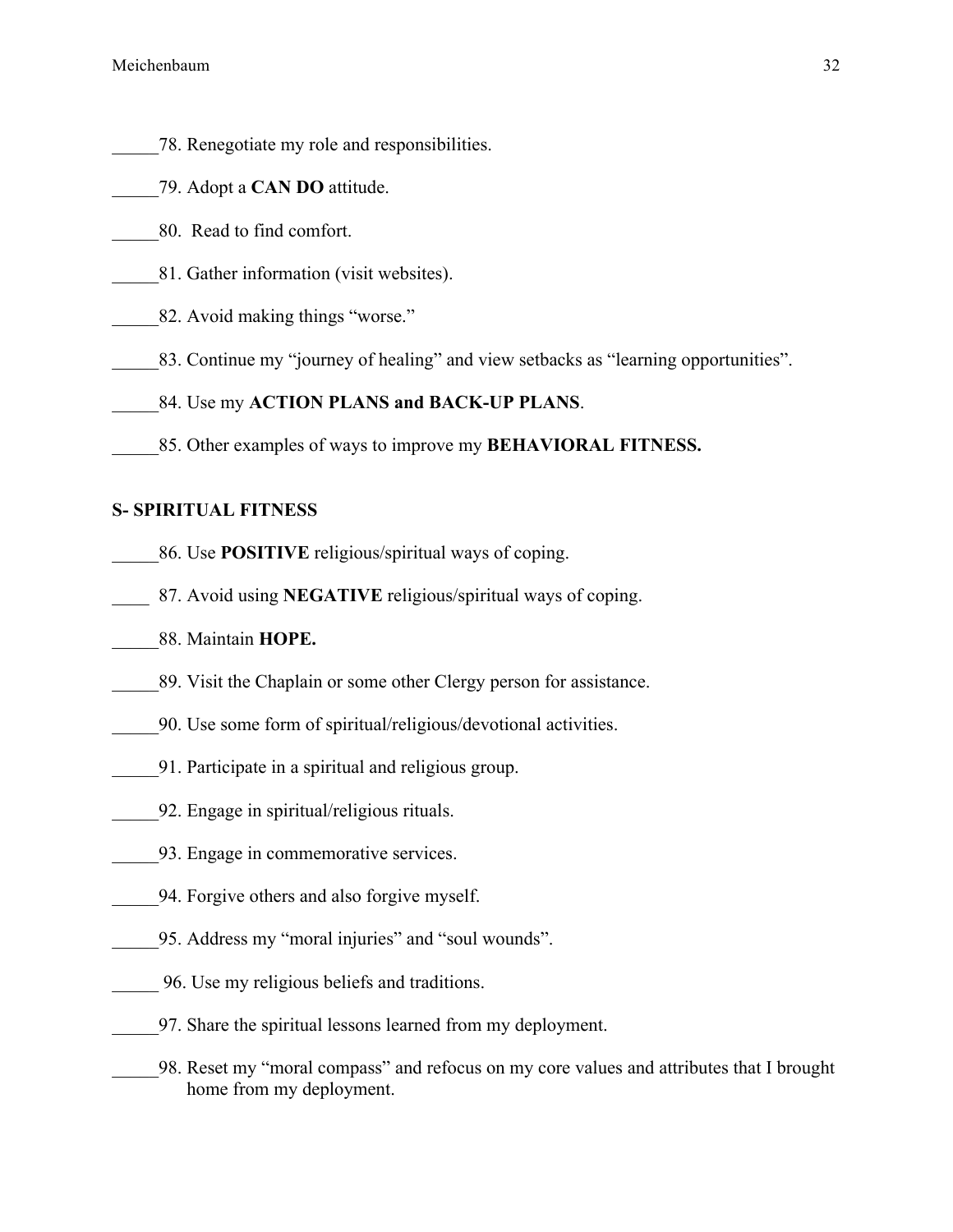- \_\_\_\_\_78. Renegotiate my role and responsibilities.
- \_\_\_\_\_79. Adopt a **CAN DO** attitude.
- \_\_\_\_\_80. Read to find comfort.
- \_\_\_\_\_81. Gather information (visit websites).
- 82. Avoid making things "worse."
- 83. Continue my "journey of healing" and view setbacks as "learning opportunities".
- 84. Use my **ACTION PLANS and BACK-UP PLANS**.
- \_\_\_\_\_85. Other examples of ways to improve my **BEHAVIORAL FITNESS.**

#### **S- SPIRITUAL FITNESS**

- \_\_\_\_\_86. Use **POSITIVE** religious/spiritual ways of coping.
- \_\_\_\_ 87. Avoid using **NEGATIVE** religious/spiritual ways of coping.
- \_\_\_\_\_88. Maintain **HOPE.**
- \_\_\_\_\_89. Visit the Chaplain or some other Clergy person for assistance.
- \_\_\_\_\_90. Use some form of spiritual/religious/devotional activities.
- \_\_\_\_\_91. Participate in a spiritual and religious group.
- \_\_\_\_\_92. Engage in spiritual/religious rituals.
- \_\_\_\_\_93. Engage in commemorative services.
- \_\_\_\_\_94. Forgive others and also forgive myself.
- \_\_\_\_\_95. Address my "moral injuries" and "soul wounds".
- \_\_\_\_\_ 96. Use my religious beliefs and traditions.
- \_\_\_\_\_97. Share the spiritual lessons learned from my deployment.
- \_\_\_\_\_98. Reset my "moral compass" and refocus on my core values and attributes that I brought home from my deployment.